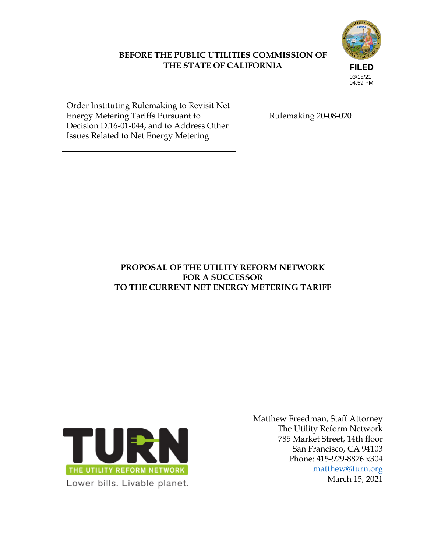# **FILED** 03/15/21 04:59 PM

Order Instituting Rulemaking to Revisit Net Energy Metering Tariffs Pursuant to Decision D.16-01-044, and to Address Other Issues Related to Net Energy Metering

Rulemaking 20-08-020

## **PROPOSAL OF THE UTILITY REFORM NETWORK FOR A SUCCESSOR TO THE CURRENT NET ENERGY METERING TARIFF**

**BEFORE THE PUBLIC UTILITIES COMMISSION OF THE STATE OF CALIFORNIA**



Matthew Freedman, Staff Attorney The Utility Reform Network 785 Market Street, 14th floor San Francisco, CA 94103 Phone: 415-929-8876 x304 matthew@turn.org March 15, 2021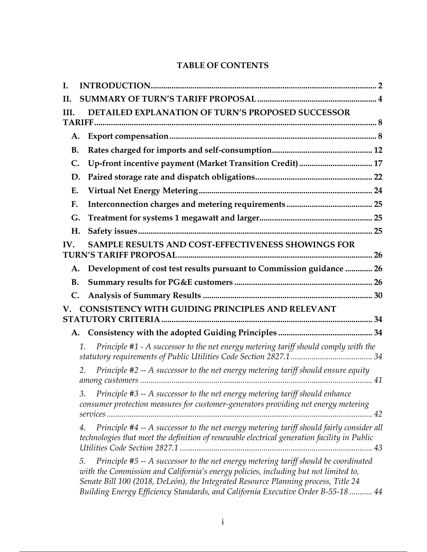## **TABLE OF CONTENTS**

| I.        |                                                                                                                                                                                                                                                                                                                                                            |  |
|-----------|------------------------------------------------------------------------------------------------------------------------------------------------------------------------------------------------------------------------------------------------------------------------------------------------------------------------------------------------------------|--|
| II.       |                                                                                                                                                                                                                                                                                                                                                            |  |
| III.      | DETAILED EXPLANATION OF TURN'S PROPOSED SUCCESSOR                                                                                                                                                                                                                                                                                                          |  |
|           |                                                                                                                                                                                                                                                                                                                                                            |  |
| A.        |                                                                                                                                                                                                                                                                                                                                                            |  |
| <b>B.</b> |                                                                                                                                                                                                                                                                                                                                                            |  |
| C.        | Up-front incentive payment (Market Transition Credit)  17                                                                                                                                                                                                                                                                                                  |  |
| D.        |                                                                                                                                                                                                                                                                                                                                                            |  |
| Ε.        |                                                                                                                                                                                                                                                                                                                                                            |  |
| F.        |                                                                                                                                                                                                                                                                                                                                                            |  |
| G.        |                                                                                                                                                                                                                                                                                                                                                            |  |
| Η.        |                                                                                                                                                                                                                                                                                                                                                            |  |
| IV.       | SAMPLE RESULTS AND COST-EFFECTIVENESS SHOWINGS FOR                                                                                                                                                                                                                                                                                                         |  |
|           |                                                                                                                                                                                                                                                                                                                                                            |  |
| A.        | Development of cost test results pursuant to Commission guidance  26                                                                                                                                                                                                                                                                                       |  |
| <b>B.</b> |                                                                                                                                                                                                                                                                                                                                                            |  |
| C.        |                                                                                                                                                                                                                                                                                                                                                            |  |
|           | CONSISTENCY WITH GUIDING PRINCIPLES AND RELEVANT                                                                                                                                                                                                                                                                                                           |  |
|           |                                                                                                                                                                                                                                                                                                                                                            |  |
| A.        |                                                                                                                                                                                                                                                                                                                                                            |  |
|           | Principle #1 - A successor to the net energy metering tariff should comply with the<br>1.                                                                                                                                                                                                                                                                  |  |
|           | Principle #2 -- A successor to the net energy metering tariff should ensure equity<br>2.                                                                                                                                                                                                                                                                   |  |
|           | 3. Principle #3 -- A successor to the net energy metering tariff should enhance<br>consumer protection measures for customer-generators providing net energy metering                                                                                                                                                                                      |  |
|           | Principle #4 -- A successor to the net energy metering tariff should fairly consider all<br>4.<br>technologies that meet the definition of renewable electrical generation facility in Public                                                                                                                                                              |  |
|           | Principle #5 -- A successor to the net energy metering tariff should be coordinated<br>5.<br>with the Commission and California's energy policies, including but not limited to,<br>Senate Bill 100 (2018, DeLeón), the Integrated Resource Planning process, Title 24<br>Building Energy Efficiency Standards, and California Executive Order B-55-18  44 |  |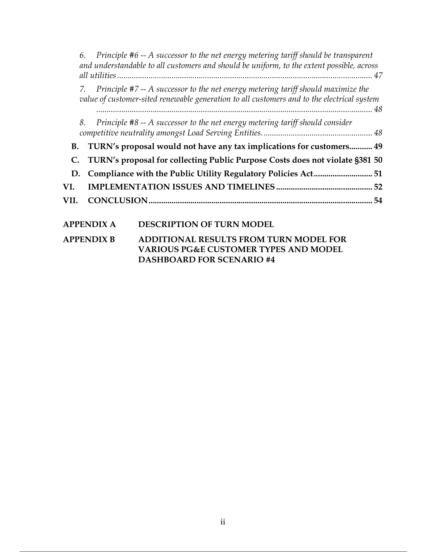| 6.                |  | Principle #6 -- A successor to the net energy metering tariff should be transparent<br>and understandable to all customers and should be uniform, to the extent possible, across |  |
|-------------------|--|----------------------------------------------------------------------------------------------------------------------------------------------------------------------------------|--|
| 7.                |  | Principle #7 -- A successor to the net energy metering tariff should maximize the<br>value of customer-sited renewable generation to all customers and to the electrical system  |  |
| 8.                |  | Principle #8 -- A successor to the net energy metering tariff should consider                                                                                                    |  |
| <b>B.</b>         |  | TURN's proposal would not have any tax implications for customers 49                                                                                                             |  |
| C.                |  | TURN's proposal for collecting Public Purpose Costs does not violate §381 50                                                                                                     |  |
| D.                |  |                                                                                                                                                                                  |  |
| VI.               |  |                                                                                                                                                                                  |  |
| VII.              |  |                                                                                                                                                                                  |  |
| <b>APPENDIX A</b> |  | <b>DESCRIPTION OF TURN MODEL</b>                                                                                                                                                 |  |
| <b>APPENDIX B</b> |  | <b>ADDITIONAL RESULTS FROM TURN MODEL FOR</b><br>VA DIAHC DO 8 F CHETAMED TVDEC AND MADEI                                                                                        |  |

**VARIOUS PG&E CUSTOMER TYPES AND MODEL DASHBOARD FOR SCENARIO #4**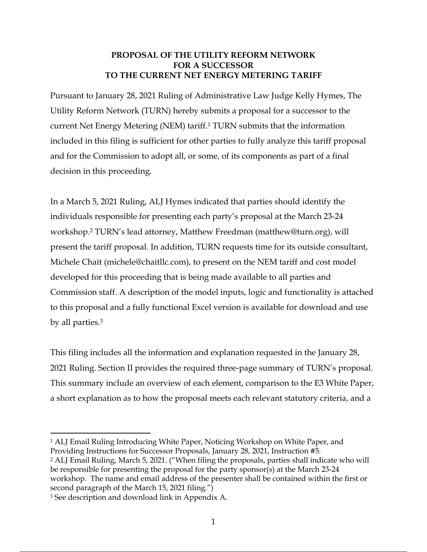## **PROPOSAL OF THE UTILITY REFORM NETWORK FOR A SUCCESSOR TO THE CURRENT NET ENERGY METERING TARIFF**

Pursuant to January 28, 2021 Ruling of Administrative Law Judge Kelly Hymes, The Utility Reform Network (TURN) hereby submits a proposal for a successor to the current Net Energy Metering (NEM) tariff.1 TURN submits that the information included in this filing is sufficient for other parties to fully analyze this tariff proposal and for the Commission to adopt all, or some, of its components as part of a final decision in this proceeding.

In a March 5, 2021 Ruling, ALJ Hymes indicated that parties should identify the individuals responsible for presenting each party's proposal at the March 23-24 workshop.2 TURN's lead attorney, Matthew Freedman (matthew@turn.org), will present the tariff proposal. In addition, TURN requests time for its outside consultant, Michele Chait (michele@chaitllc.com), to present on the NEM tariff and cost model developed for this proceeding that is being made available to all parties and Commission staff. A description of the model inputs, logic and functionality is attached to this proposal and a fully functional Excel version is available for download and use by all parties. 3

This filing includes all the information and explanation requested in the January 28, 2021 Ruling. Section II provides the required three-page summary of TURN's proposal. This summary include an overview of each element, comparison to the E3 White Paper, a short explanation as to how the proposal meets each relevant statutory criteria, and a

<sup>1</sup> ALJ Email Ruling Introducing White Paper, Noticing Workshop on White Paper, and Providing Instructions for Successor Proposals, January 28, 2021, Instruction #5.

<sup>2</sup> ALJ Email Ruling, March 5, 2021. ("When filing the proposals, parties shall indicate who will be responsible for presenting the proposal for the party sponsor(s) at the March 23-24 workshop. The name and email address of the presenter shall be contained within the first or second paragraph of the March 15, 2021 filing.")

<sup>3</sup> See description and download link in Appendix A.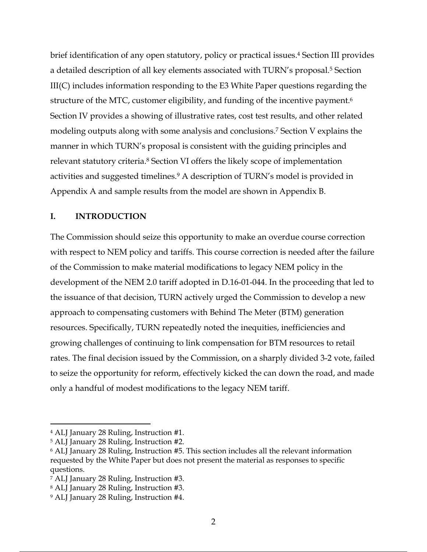brief identification of any open statutory, policy or practical issues. <sup>4</sup> Section III provides a detailed description of all key elements associated with TURN's proposal. <sup>5</sup> Section III(C) includes information responding to the E3 White Paper questions regarding the structure of the MTC, customer eligibility, and funding of the incentive payment. 6 Section IV provides a showing of illustrative rates, cost test results, and other related modeling outputs along with some analysis and conclusions. <sup>7</sup> Section V explains the manner in which TURN's proposal is consistent with the guiding principles and relevant statutory criteria.8 Section VI offers the likely scope of implementation activities and suggested timelines. <sup>9</sup> A description of TURN's model is provided in Appendix A and sample results from the model are shown in Appendix B.

#### **I. INTRODUCTION**

The Commission should seize this opportunity to make an overdue course correction with respect to NEM policy and tariffs. This course correction is needed after the failure of the Commission to make material modifications to legacy NEM policy in the development of the NEM 2.0 tariff adopted in D.16-01-044. In the proceeding that led to the issuance of that decision, TURN actively urged the Commission to develop a new approach to compensating customers with Behind The Meter (BTM) generation resources. Specifically, TURN repeatedly noted the inequities, inefficiencies and growing challenges of continuing to link compensation for BTM resources to retail rates. The final decision issued by the Commission, on a sharply divided 3-2 vote, failed to seize the opportunity for reform, effectively kicked the can down the road, and made only a handful of modest modifications to the legacy NEM tariff.

<sup>4</sup> ALJ January 28 Ruling, Instruction #1.

<sup>5</sup> ALJ January 28 Ruling, Instruction #2.

<sup>6</sup> ALJ January 28 Ruling, Instruction #5. This section includes all the relevant information requested by the White Paper but does not present the material as responses to specific questions.

<sup>7</sup> ALJ January 28 Ruling, Instruction #3.

<sup>8</sup> ALJ January 28 Ruling, Instruction #3.

<sup>9</sup> ALJ January 28 Ruling, Instruction #4.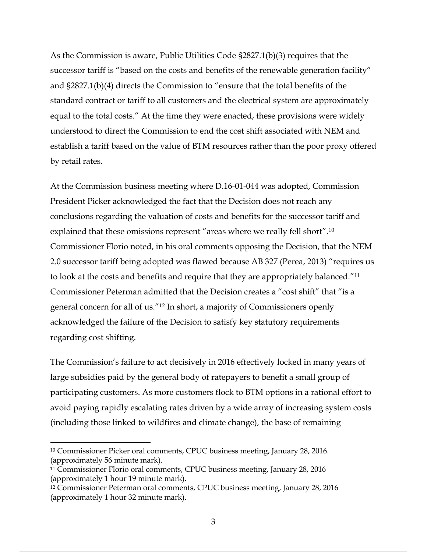As the Commission is aware, Public Utilities Code §2827.1(b)(3) requires that the successor tariff is "based on the costs and benefits of the renewable generation facility" and §2827.1(b)(4) directs the Commission to "ensure that the total benefits of the standard contract or tariff to all customers and the electrical system are approximately equal to the total costs." At the time they were enacted, these provisions were widely understood to direct the Commission to end the cost shift associated with NEM and establish a tariff based on the value of BTM resources rather than the poor proxy offered by retail rates.

At the Commission business meeting where D.16-01-044 was adopted, Commission President Picker acknowledged the fact that the Decision does not reach any conclusions regarding the valuation of costs and benefits for the successor tariff and explained that these omissions represent "areas where we really fell short".10 Commissioner Florio noted, in his oral comments opposing the Decision, that the NEM 2.0 successor tariff being adopted was flawed because AB 327 (Perea, 2013) "requires us to look at the costs and benefits and require that they are appropriately balanced."11 Commissioner Peterman admitted that the Decision creates a "cost shift" that "is a general concern for all of us."12 In short, a majority of Commissioners openly acknowledged the failure of the Decision to satisfy key statutory requirements regarding cost shifting.

The Commission's failure to act decisively in 2016 effectively locked in many years of large subsidies paid by the general body of ratepayers to benefit a small group of participating customers. As more customers flock to BTM options in a rational effort to avoid paying rapidly escalating rates driven by a wide array of increasing system costs (including those linked to wildfires and climate change), the base of remaining

<sup>10</sup> Commissioner Picker oral comments, CPUC business meeting, January 28, 2016. (approximately 56 minute mark).

<sup>11</sup> Commissioner Florio oral comments, CPUC business meeting, January 28, 2016 (approximately 1 hour 19 minute mark).

<sup>12</sup> Commissioner Peterman oral comments, CPUC business meeting, January 28, 2016 (approximately 1 hour 32 minute mark).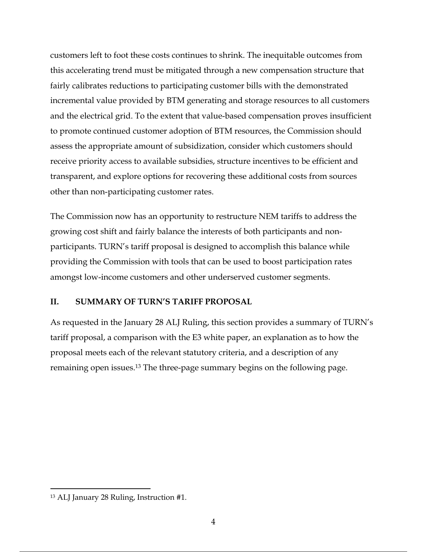customers left to foot these costs continues to shrink. The inequitable outcomes from this accelerating trend must be mitigated through a new compensation structure that fairly calibrates reductions to participating customer bills with the demonstrated incremental value provided by BTM generating and storage resources to all customers and the electrical grid. To the extent that value-based compensation proves insufficient to promote continued customer adoption of BTM resources, the Commission should assess the appropriate amount of subsidization, consider which customers should receive priority access to available subsidies, structure incentives to be efficient and transparent, and explore options for recovering these additional costs from sources other than non-participating customer rates.

The Commission now has an opportunity to restructure NEM tariffs to address the growing cost shift and fairly balance the interests of both participants and nonparticipants. TURN's tariff proposal is designed to accomplish this balance while providing the Commission with tools that can be used to boost participation rates amongst low-income customers and other underserved customer segments.

#### **II. SUMMARY OF TURN'S TARIFF PROPOSAL**

As requested in the January 28 ALJ Ruling, this section provides a summary of TURN's tariff proposal, a comparison with the E3 white paper, an explanation as to how the proposal meets each of the relevant statutory criteria, and a description of any remaining open issues. <sup>13</sup> The three-page summary begins on the following page.

<sup>13</sup> ALJ January 28 Ruling, Instruction #1.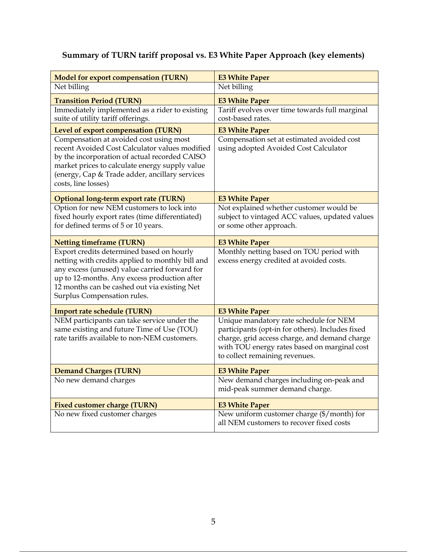# **Summary of TURN tariff proposal vs. E3 White Paper Approach (key elements)**

| <b>Model for export compensation (TURN)</b>                                                                                                                                                                                                                                   | <b>E3 White Paper</b>                                                                                                                                                                                                         |
|-------------------------------------------------------------------------------------------------------------------------------------------------------------------------------------------------------------------------------------------------------------------------------|-------------------------------------------------------------------------------------------------------------------------------------------------------------------------------------------------------------------------------|
| Net billing                                                                                                                                                                                                                                                                   | Net billing                                                                                                                                                                                                                   |
| <b>Transition Period (TURN)</b>                                                                                                                                                                                                                                               | <b>E3 White Paper</b>                                                                                                                                                                                                         |
| Immediately implemented as a rider to existing                                                                                                                                                                                                                                | Tariff evolves over time towards full marginal                                                                                                                                                                                |
| suite of utility tariff offerings.                                                                                                                                                                                                                                            | cost-based rates.                                                                                                                                                                                                             |
| Level of export compensation (TURN)                                                                                                                                                                                                                                           | <b>E3 White Paper</b>                                                                                                                                                                                                         |
| Compensation at avoided cost using most<br>recent Avoided Cost Calculator values modified<br>by the incorporation of actual recorded CAISO<br>market prices to calculate energy supply value<br>(energy, Cap & Trade adder, ancillary services<br>costs, line losses)         | Compensation set at estimated avoided cost<br>using adopted Avoided Cost Calculator                                                                                                                                           |
| Optional long-term export rate (TURN)                                                                                                                                                                                                                                         | <b>E3 White Paper</b>                                                                                                                                                                                                         |
| Option for new NEM customers to lock into<br>fixed hourly export rates (time differentiated)<br>for defined terms of 5 or 10 years.                                                                                                                                           | Not explained whether customer would be<br>subject to vintaged ACC values, updated values<br>or some other approach.                                                                                                          |
| <b>Netting timeframe (TURN)</b>                                                                                                                                                                                                                                               | <b>E3 White Paper</b>                                                                                                                                                                                                         |
| Export credits determined based on hourly<br>netting with credits applied to monthly bill and<br>any excess (unused) value carried forward for<br>up to 12-months. Any excess production after<br>12 months can be cashed out via existing Net<br>Surplus Compensation rules. | Monthly netting based on TOU period with<br>excess energy credited at avoided costs.                                                                                                                                          |
| Import rate schedule (TURN)                                                                                                                                                                                                                                                   | <b>E3 White Paper</b>                                                                                                                                                                                                         |
| NEM participants can take service under the<br>same existing and future Time of Use (TOU)<br>rate tariffs available to non-NEM customers.                                                                                                                                     | Unique mandatory rate schedule for NEM<br>participants (opt-in for others). Includes fixed<br>charge, grid access charge, and demand charge<br>with TOU energy rates based on marginal cost<br>to collect remaining revenues. |
| <b>Demand Charges (TURN)</b>                                                                                                                                                                                                                                                  | <b>E3 White Paper</b>                                                                                                                                                                                                         |
| No new demand charges                                                                                                                                                                                                                                                         | New demand charges including on-peak and<br>mid-peak summer demand charge.                                                                                                                                                    |
| <b>Fixed customer charge (TURN)</b>                                                                                                                                                                                                                                           | <b>E3 White Paper</b>                                                                                                                                                                                                         |
| No new fixed customer charges                                                                                                                                                                                                                                                 | New uniform customer charge (\$/month) for<br>all NEM customers to recover fixed costs                                                                                                                                        |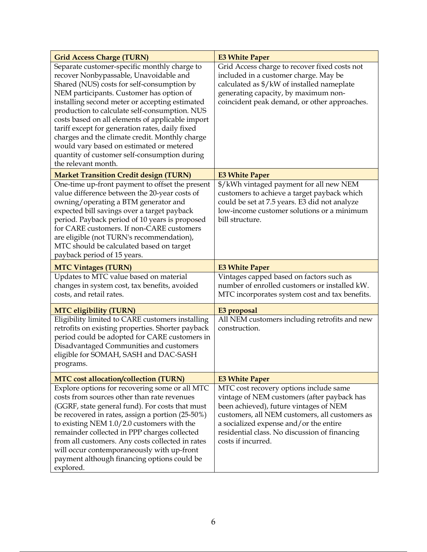| <b>Grid Access Charge (TURN)</b>                                                                                                                                                                                                                                                                                                                                                                                                                                                                                                                                | <b>E3 White Paper</b>                                                                                                                                                                                                                                                                              |
|-----------------------------------------------------------------------------------------------------------------------------------------------------------------------------------------------------------------------------------------------------------------------------------------------------------------------------------------------------------------------------------------------------------------------------------------------------------------------------------------------------------------------------------------------------------------|----------------------------------------------------------------------------------------------------------------------------------------------------------------------------------------------------------------------------------------------------------------------------------------------------|
| Separate customer-specific monthly charge to<br>recover Nonbypassable, Unavoidable and<br>Shared (NUS) costs for self-consumption by<br>NEM participants. Customer has option of<br>installing second meter or accepting estimated<br>production to calculate self-consumption. NUS<br>costs based on all elements of applicable import<br>tariff except for generation rates, daily fixed<br>charges and the climate credit. Monthly charge<br>would vary based on estimated or metered<br>quantity of customer self-consumption during<br>the relevant month. | Grid Access charge to recover fixed costs not<br>included in a customer charge. May be<br>calculated as \$/kW of installed nameplate<br>generating capacity, by maximum non-<br>coincident peak demand, or other approaches.                                                                       |
| <b>Market Transition Credit design (TURN)</b>                                                                                                                                                                                                                                                                                                                                                                                                                                                                                                                   | <b>E3 White Paper</b>                                                                                                                                                                                                                                                                              |
| One-time up-front payment to offset the present<br>value difference between the 20-year costs of<br>owning/operating a BTM generator and<br>expected bill savings over a target payback<br>period. Payback period of 10 years is proposed<br>for CARE customers. If non-CARE customers<br>are eligible (not TURN's recommendation),<br>MTC should be calculated based on target<br>payback period of 15 years.                                                                                                                                                  | \$/kWh vintaged payment for all new NEM<br>customers to achieve a target payback which<br>could be set at 7.5 years. E3 did not analyze<br>low-income customer solutions or a minimum<br>bill structure.                                                                                           |
| <b>MTC Vintages (TURN)</b>                                                                                                                                                                                                                                                                                                                                                                                                                                                                                                                                      | <b>E3 White Paper</b>                                                                                                                                                                                                                                                                              |
| Updates to MTC value based on material<br>changes in system cost, tax benefits, avoided<br>costs, and retail rates.                                                                                                                                                                                                                                                                                                                                                                                                                                             | Vintages capped based on factors such as<br>number of enrolled customers or installed kW.<br>MTC incorporates system cost and tax benefits.                                                                                                                                                        |
| <b>MTC eligibility (TURN)</b>                                                                                                                                                                                                                                                                                                                                                                                                                                                                                                                                   | E3 proposal                                                                                                                                                                                                                                                                                        |
| Eligibility limited to CARE customers installing<br>retrofits on existing properties. Shorter payback<br>period could be adopted for CARE customers in<br>Disadvantaged Communities and customers<br>eligible for SOMAH, SASH and DAC-SASH<br>programs.                                                                                                                                                                                                                                                                                                         | All NEM customers including retrofits and new<br>construction.                                                                                                                                                                                                                                     |
| <b>MTC</b> cost allocation/collection (TURN)                                                                                                                                                                                                                                                                                                                                                                                                                                                                                                                    | <b>E3 White Paper</b>                                                                                                                                                                                                                                                                              |
| Explore options for recovering some or all MTC<br>costs from sources other than rate revenues<br>(GGRF, state general fund). For costs that must<br>be recovered in rates, assign a portion (25-50%)<br>to existing NEM 1.0/2.0 customers with the<br>remainder collected in PPP charges collected<br>from all customers. Any costs collected in rates<br>will occur contemporaneously with up-front<br>payment although financing options could be<br>explored.                                                                                                | MTC cost recovery options include same<br>vintage of NEM customers (after payback has<br>been achieved), future vintages of NEM<br>customers, all NEM customers, all customers as<br>a socialized expense and/or the entire<br>residential class. No discussion of financing<br>costs if incurred. |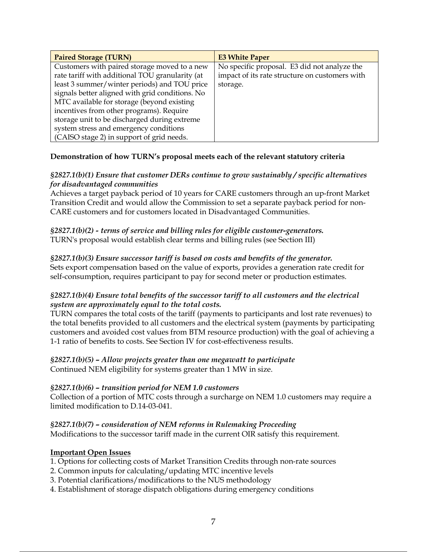| <b>Paired Storage (TURN)</b>                    | <b>E3 White Paper</b>                          |
|-------------------------------------------------|------------------------------------------------|
| Customers with paired storage moved to a new    | No specific proposal. E3 did not analyze the   |
| rate tariff with additional TOU granularity (at | impact of its rate structure on customers with |
| least 3 summer/winter periods) and TOU price    | storage.                                       |
| signals better aligned with grid conditions. No |                                                |
| MTC available for storage (beyond existing      |                                                |
| incentives from other programs). Require        |                                                |
| storage unit to be discharged during extreme    |                                                |
| system stress and emergency conditions          |                                                |
| (CAISO stage 2) in support of grid needs.       |                                                |

#### **Demonstration of how TURN's proposal meets each of the relevant statutory criteria**

#### *§2827.1(b)(1) Ensure that customer DERs continue to grow sustainably / specific alternatives for disadvantaged communities*

Achieves a target payback period of 10 years for CARE customers through an up-front Market Transition Credit and would allow the Commission to set a separate payback period for non-CARE customers and for customers located in Disadvantaged Communities.

#### *§2827.1(b)(2) - terms of service and billing rules for eligible customer-generators.* TURN's proposal would establish clear terms and billing rules (see Section III)

## *§2827.1(b)(3) Ensure successor tariff is based on costs and benefits of the generator.*

Sets export compensation based on the value of exports, provides a generation rate credit for self-consumption, requires participant to pay for second meter or production estimates.

#### *§2827.1(b)(4) Ensure total benefits of the successor tariff to all customers and the electrical system are approximately equal to the total costs.*

TURN compares the total costs of the tariff (payments to participants and lost rate revenues) to the total benefits provided to all customers and the electrical system (payments by participating customers and avoided cost values from BTM resource production) with the goal of achieving a 1-1 ratio of benefits to costs. See Section IV for cost-effectiveness results.

#### *§2827.1(b)(5) – Allow projects greater than one megawatt to participate* Continued NEM eligibility for systems greater than 1 MW in size.

#### *§2827.1(b)(6) – transition period for NEM 1.0 customers*

Collection of a portion of MTC costs through a surcharge on NEM 1.0 customers may require a limited modification to D.14-03-041.

#### *§2827.1(b)(7) – consideration of NEM reforms in Rulemaking Proceeding*

Modifications to the successor tariff made in the current OIR satisfy this requirement.

#### **Important Open Issues**

- 1. Options for collecting costs of Market Transition Credits through non-rate sources
- 2. Common inputs for calculating/updating MTC incentive levels
- 3. Potential clarifications/modifications to the NUS methodology
- 4. Establishment of storage dispatch obligations during emergency conditions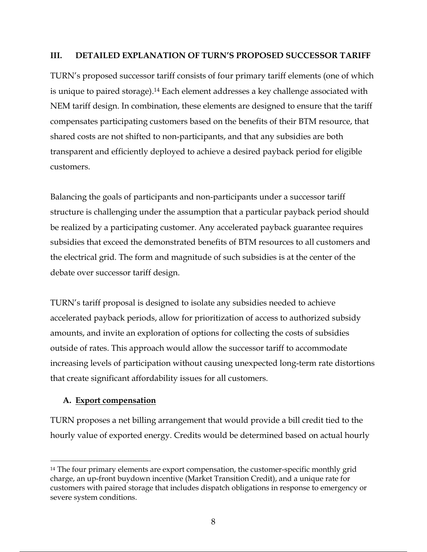#### **III. DETAILED EXPLANATION OF TURN'S PROPOSED SUCCESSOR TARIFF**

TURN's proposed successor tariff consists of four primary tariff elements (one of which is unique to paired storage). <sup>14</sup> Each element addresses a key challenge associated with NEM tariff design. In combination, these elements are designed to ensure that the tariff compensates participating customers based on the benefits of their BTM resource, that shared costs are not shifted to non-participants, and that any subsidies are both transparent and efficiently deployed to achieve a desired payback period for eligible customers.

Balancing the goals of participants and non-participants under a successor tariff structure is challenging under the assumption that a particular payback period should be realized by a participating customer. Any accelerated payback guarantee requires subsidies that exceed the demonstrated benefits of BTM resources to all customers and the electrical grid. The form and magnitude of such subsidies is at the center of the debate over successor tariff design.

TURN's tariff proposal is designed to isolate any subsidies needed to achieve accelerated payback periods, allow for prioritization of access to authorized subsidy amounts, and invite an exploration of options for collecting the costs of subsidies outside of rates. This approach would allow the successor tariff to accommodate increasing levels of participation without causing unexpected long-term rate distortions that create significant affordability issues for all customers.

## **A. Export compensation**

TURN proposes a net billing arrangement that would provide a bill credit tied to the hourly value of exported energy. Credits would be determined based on actual hourly

<sup>&</sup>lt;sup>14</sup> The four primary elements are export compensation, the customer-specific monthly grid charge, an up-front buydown incentive (Market Transition Credit), and a unique rate for customers with paired storage that includes dispatch obligations in response to emergency or severe system conditions.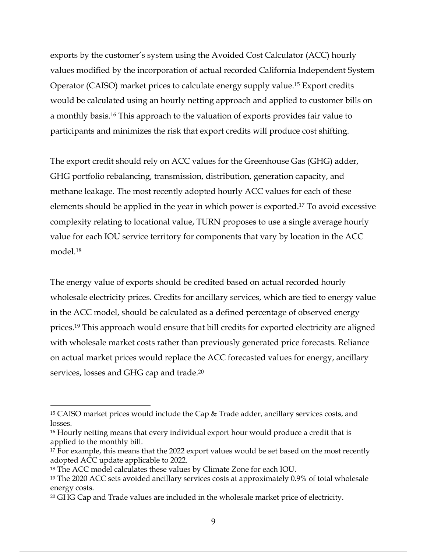exports by the customer's system using the Avoided Cost Calculator (ACC) hourly values modified by the incorporation of actual recorded California Independent System Operator (CAISO) market prices to calculate energy supply value. <sup>15</sup> Export credits would be calculated using an hourly netting approach and applied to customer bills on a monthly basis.16 This approach to the valuation of exports provides fair value to participants and minimizes the risk that export credits will produce cost shifting.

The export credit should rely on ACC values for the Greenhouse Gas (GHG) adder, GHG portfolio rebalancing, transmission, distribution, generation capacity, and methane leakage. The most recently adopted hourly ACC values for each of these elements should be applied in the year in which power is exported. <sup>17</sup> To avoid excessive complexity relating to locational value, TURN proposes to use a single average hourly value for each IOU service territory for components that vary by location in the ACC model.18

The energy value of exports should be credited based on actual recorded hourly wholesale electricity prices. Credits for ancillary services, which are tied to energy value in the ACC model, should be calculated as a defined percentage of observed energy prices.19 This approach would ensure that bill credits for exported electricity are aligned with wholesale market costs rather than previously generated price forecasts. Reliance on actual market prices would replace the ACC forecasted values for energy, ancillary services, losses and GHG cap and trade.<sup>20</sup>

<sup>15</sup> CAISO market prices would include the Cap & Trade adder, ancillary services costs, and losses.

<sup>&</sup>lt;sup>16</sup> Hourly netting means that every individual export hour would produce a credit that is applied to the monthly bill.

<sup>&</sup>lt;sup>17</sup> For example, this means that the 2022 export values would be set based on the most recently adopted ACC update applicable to 2022.

<sup>18</sup> The ACC model calculates these values by Climate Zone for each IOU.

<sup>&</sup>lt;sup>19</sup> The 2020 ACC sets avoided ancillary services costs at approximately 0.9% of total wholesale energy costs.

<sup>20</sup> GHG Cap and Trade values are included in the wholesale market price of electricity.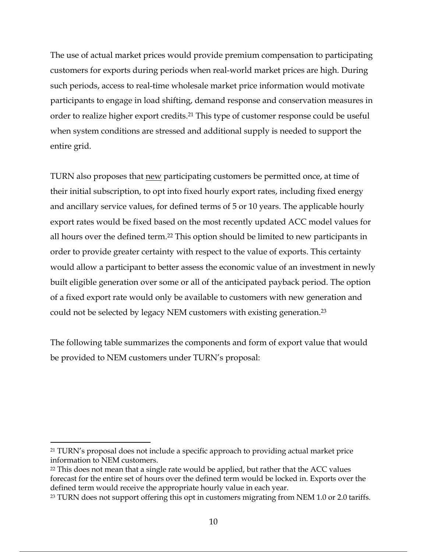The use of actual market prices would provide premium compensation to participating customers for exports during periods when real-world market prices are high. During such periods, access to real-time wholesale market price information would motivate participants to engage in load shifting, demand response and conservation measures in order to realize higher export credits. <sup>21</sup> This type of customer response could be useful when system conditions are stressed and additional supply is needed to support the entire grid.

TURN also proposes that new participating customers be permitted once, at time of their initial subscription, to opt into fixed hourly export rates, including fixed energy and ancillary service values, for defined terms of 5 or 10 years. The applicable hourly export rates would be fixed based on the most recently updated ACC model values for all hours over the defined term.<sup>22</sup> This option should be limited to new participants in order to provide greater certainty with respect to the value of exports. This certainty would allow a participant to better assess the economic value of an investment in newly built eligible generation over some or all of the anticipated payback period. The option of a fixed export rate would only be available to customers with new generation and could not be selected by legacy NEM customers with existing generation.23

The following table summarizes the components and form of export value that would be provided to NEM customers under TURN's proposal:

<sup>21</sup> TURN's proposal does not include a specific approach to providing actual market price information to NEM customers.

<sup>22</sup> This does not mean that a single rate would be applied, but rather that the ACC values forecast for the entire set of hours over the defined term would be locked in. Exports over the defined term would receive the appropriate hourly value in each year.

<sup>&</sup>lt;sup>23</sup> TURN does not support offering this opt in customers migrating from NEM 1.0 or 2.0 tariffs.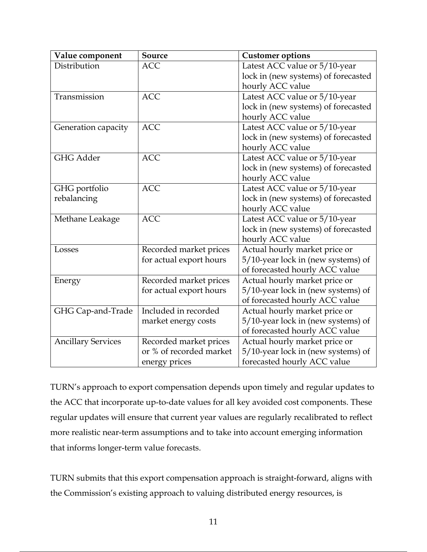| Value component           | Source                  | <b>Customer options</b>             |
|---------------------------|-------------------------|-------------------------------------|
| Distribution              | <b>ACC</b>              | Latest ACC value or 5/10-year       |
|                           |                         | lock in (new systems) of forecasted |
|                           |                         | hourly ACC value                    |
| Transmission              | <b>ACC</b>              | Latest ACC value or 5/10-year       |
|                           |                         | lock in (new systems) of forecasted |
|                           |                         | hourly ACC value                    |
| Generation capacity       | <b>ACC</b>              | Latest ACC value or 5/10-year       |
|                           |                         | lock in (new systems) of forecasted |
|                           |                         | hourly ACC value                    |
| <b>GHG Adder</b>          | <b>ACC</b>              | Latest ACC value or 5/10-year       |
|                           |                         | lock in (new systems) of forecasted |
|                           |                         | hourly ACC value                    |
| GHG portfolio             | <b>ACC</b>              | Latest ACC value or 5/10-year       |
| rebalancing               |                         | lock in (new systems) of forecasted |
|                           |                         | hourly ACC value                    |
| Methane Leakage           | <b>ACC</b>              | Latest ACC value or 5/10-year       |
|                           |                         | lock in (new systems) of forecasted |
|                           |                         | hourly ACC value                    |
| Losses                    | Recorded market prices  | Actual hourly market price or       |
|                           | for actual export hours | 5/10-year lock in (new systems) of  |
|                           |                         | of forecasted hourly ACC value      |
| Energy                    | Recorded market prices  | Actual hourly market price or       |
|                           | for actual export hours | 5/10-year lock in (new systems) of  |
|                           |                         | of forecasted hourly ACC value      |
| GHG Cap-and-Trade         | Included in recorded    | Actual hourly market price or       |
|                           | market energy costs     | 5/10-year lock in (new systems) of  |
|                           |                         | of forecasted hourly ACC value      |
| <b>Ancillary Services</b> | Recorded market prices  | Actual hourly market price or       |
|                           | or % of recorded market | 5/10-year lock in (new systems) of  |
|                           | energy prices           | forecasted hourly ACC value         |

TURN's approach to export compensation depends upon timely and regular updates to the ACC that incorporate up-to-date values for all key avoided cost components. These regular updates will ensure that current year values are regularly recalibrated to reflect more realistic near-term assumptions and to take into account emerging information that informs longer-term value forecasts.

TURN submits that this export compensation approach is straight-forward, aligns with the Commission's existing approach to valuing distributed energy resources, is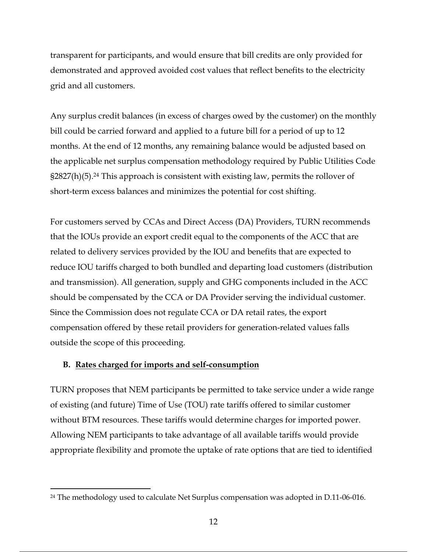transparent for participants, and would ensure that bill credits are only provided for demonstrated and approved avoided cost values that reflect benefits to the electricity grid and all customers.

Any surplus credit balances (in excess of charges owed by the customer) on the monthly bill could be carried forward and applied to a future bill for a period of up to 12 months. At the end of 12 months, any remaining balance would be adjusted based on the applicable net surplus compensation methodology required by Public Utilities Code  $\S2827(h)(5)$ .<sup>24</sup> This approach is consistent with existing law, permits the rollover of short-term excess balances and minimizes the potential for cost shifting.

For customers served by CCAs and Direct Access (DA) Providers, TURN recommends that the IOUs provide an export credit equal to the components of the ACC that are related to delivery services provided by the IOU and benefits that are expected to reduce IOU tariffs charged to both bundled and departing load customers (distribution and transmission). All generation, supply and GHG components included in the ACC should be compensated by the CCA or DA Provider serving the individual customer. Since the Commission does not regulate CCA or DA retail rates, the export compensation offered by these retail providers for generation-related values falls outside the scope of this proceeding.

#### **B. Rates charged for imports and self-consumption**

TURN proposes that NEM participants be permitted to take service under a wide range of existing (and future) Time of Use (TOU) rate tariffs offered to similar customer without BTM resources. These tariffs would determine charges for imported power. Allowing NEM participants to take advantage of all available tariffs would provide appropriate flexibility and promote the uptake of rate options that are tied to identified

<sup>24</sup> The methodology used to calculate Net Surplus compensation was adopted in D.11-06-016.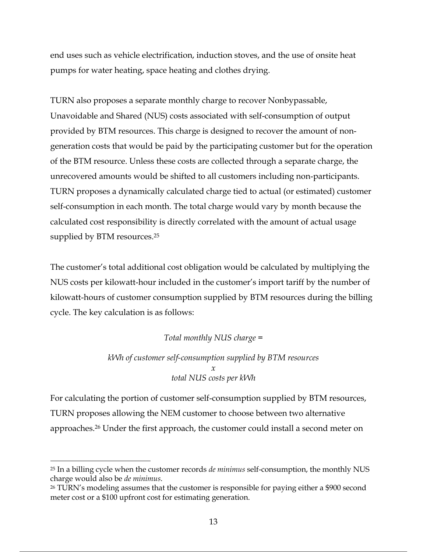end uses such as vehicle electrification, induction stoves, and the use of onsite heat pumps for water heating, space heating and clothes drying.

TURN also proposes a separate monthly charge to recover Nonbypassable, Unavoidable and Shared (NUS) costs associated with self-consumption of output provided by BTM resources. This charge is designed to recover the amount of nongeneration costs that would be paid by the participating customer but for the operation of the BTM resource. Unless these costs are collected through a separate charge, the unrecovered amounts would be shifted to all customers including non-participants. TURN proposes a dynamically calculated charge tied to actual (or estimated) customer self-consumption in each month. The total charge would vary by month because the calculated cost responsibility is directly correlated with the amount of actual usage supplied by BTM resources. 25

The customer's total additional cost obligation would be calculated by multiplying the NUS costs per kilowatt-hour included in the customer's import tariff by the number of kilowatt-hours of customer consumption supplied by BTM resources during the billing cycle. The key calculation is as follows:

## *Total monthly NUS charge =*

*kWh of customer self-consumption supplied by BTM resources x total NUS costs per kWh*

For calculating the portion of customer self-consumption supplied by BTM resources, TURN proposes allowing the NEM customer to choose between two alternative approaches.26 Under the first approach, the customer could install a second meter on

<sup>25</sup> In a billing cycle when the customer records *de minimus* self-consumption, the monthly NUS charge would also be *de minimus*.

<sup>26</sup> TURN's modeling assumes that the customer is responsible for paying either a \$900 second meter cost or a \$100 upfront cost for estimating generation.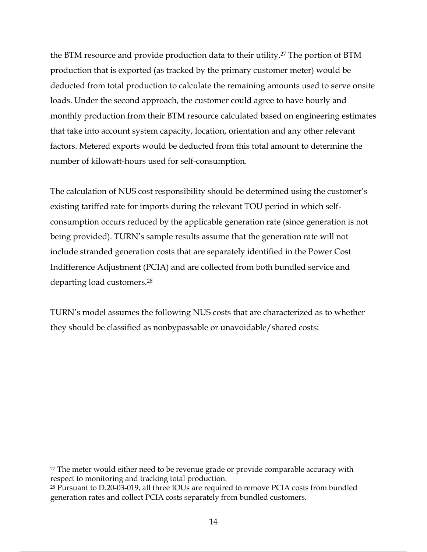the BTM resource and provide production data to their utility.27 The portion of BTM production that is exported (as tracked by the primary customer meter) would be deducted from total production to calculate the remaining amounts used to serve onsite loads. Under the second approach, the customer could agree to have hourly and monthly production from their BTM resource calculated based on engineering estimates that take into account system capacity, location, orientation and any other relevant factors. Metered exports would be deducted from this total amount to determine the number of kilowatt-hours used for self-consumption.

The calculation of NUS cost responsibility should be determined using the customer's existing tariffed rate for imports during the relevant TOU period in which selfconsumption occurs reduced by the applicable generation rate (since generation is not being provided). TURN's sample results assume that the generation rate will not include stranded generation costs that are separately identified in the Power Cost Indifference Adjustment (PCIA) and are collected from both bundled service and departing load customers. 28

TURN's model assumes the following NUS costs that are characterized as to whether they should be classified as nonbypassable or unavoidable/shared costs:

<sup>&</sup>lt;sup>27</sup> The meter would either need to be revenue grade or provide comparable accuracy with respect to monitoring and tracking total production.

<sup>28</sup> Pursuant to D.20-03-019, all three IOUs are required to remove PCIA costs from bundled generation rates and collect PCIA costs separately from bundled customers.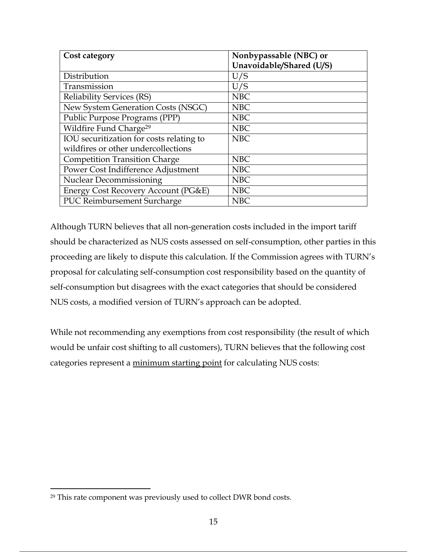| Cost category                            | Nonbypassable (NBC) or   |
|------------------------------------------|--------------------------|
|                                          | Unavoidable/Shared (U/S) |
| Distribution                             | U/S                      |
| Transmission                             | U/S                      |
| <b>Reliability Services (RS)</b>         | <b>NBC</b>               |
| New System Generation Costs (NSGC)       | <b>NBC</b>               |
| Public Purpose Programs (PPP)            | <b>NBC</b>               |
| Wildfire Fund Charge <sup>29</sup>       | <b>NBC</b>               |
| IOU securitization for costs relating to | <b>NBC</b>               |
| wildfires or other undercollections      |                          |
| <b>Competition Transition Charge</b>     | <b>NBC</b>               |
| Power Cost Indifference Adjustment       | <b>NBC</b>               |
| <b>Nuclear Decommissioning</b>           | <b>NBC</b>               |
| Energy Cost Recovery Account (PG&E)      | <b>NBC</b>               |
| <b>PUC Reimbursement Surcharge</b>       | <b>NBC</b>               |

Although TURN believes that all non-generation costs included in the import tariff should be characterized as NUS costs assessed on self-consumption, other parties in this proceeding are likely to dispute this calculation. If the Commission agrees with TURN's proposal for calculating self-consumption cost responsibility based on the quantity of self-consumption but disagrees with the exact categories that should be considered NUS costs, a modified version of TURN's approach can be adopted.

While not recommending any exemptions from cost responsibility (the result of which would be unfair cost shifting to all customers), TURN believes that the following cost categories represent a minimum starting point for calculating NUS costs:

<sup>29</sup> This rate component was previously used to collect DWR bond costs.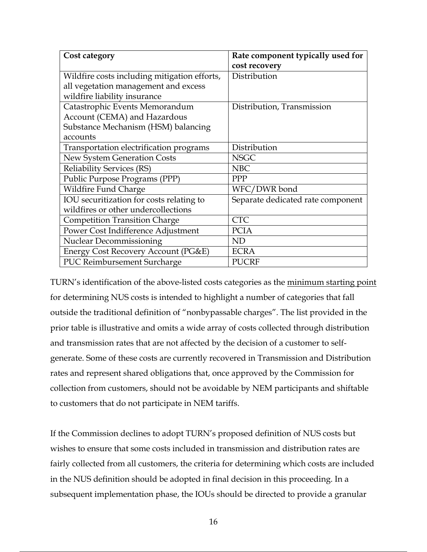| Cost category                                | Rate component typically used for |  |
|----------------------------------------------|-----------------------------------|--|
|                                              | cost recovery                     |  |
| Wildfire costs including mitigation efforts, | Distribution                      |  |
| all vegetation management and excess         |                                   |  |
| wildfire liability insurance                 |                                   |  |
| Catastrophic Events Memorandum               | Distribution, Transmission        |  |
| Account (CEMA) and Hazardous                 |                                   |  |
| Substance Mechanism (HSM) balancing          |                                   |  |
| accounts                                     |                                   |  |
| Transportation electrification programs      | Distribution                      |  |
| New System Generation Costs                  | <b>NSGC</b>                       |  |
| <b>Reliability Services (RS)</b>             | <b>NBC</b>                        |  |
| Public Purpose Programs (PPP)                | <b>PPP</b>                        |  |
| Wildfire Fund Charge                         | WFC/DWR bond                      |  |
| IOU securitization for costs relating to     | Separate dedicated rate component |  |
| wildfires or other undercollections          |                                   |  |
| <b>Competition Transition Charge</b>         | <b>CTC</b>                        |  |
| Power Cost Indifference Adjustment           | <b>PCIA</b>                       |  |
| <b>Nuclear Decommissioning</b>               | <b>ND</b>                         |  |
| Energy Cost Recovery Account (PG&E)          | <b>ECRA</b>                       |  |
| PUC Reimbursement Surcharge                  | <b>PUCRF</b>                      |  |

TURN's identification of the above-listed costs categories as the minimum starting point for determining NUS costs is intended to highlight a number of categories that fall outside the traditional definition of "nonbypassable charges". The list provided in the prior table is illustrative and omits a wide array of costs collected through distribution and transmission rates that are not affected by the decision of a customer to selfgenerate. Some of these costs are currently recovered in Transmission and Distribution rates and represent shared obligations that, once approved by the Commission for collection from customers, should not be avoidable by NEM participants and shiftable to customers that do not participate in NEM tariffs.

If the Commission declines to adopt TURN's proposed definition of NUS costs but wishes to ensure that some costs included in transmission and distribution rates are fairly collected from all customers, the criteria for determining which costs are included in the NUS definition should be adopted in final decision in this proceeding. In a subsequent implementation phase, the IOUs should be directed to provide a granular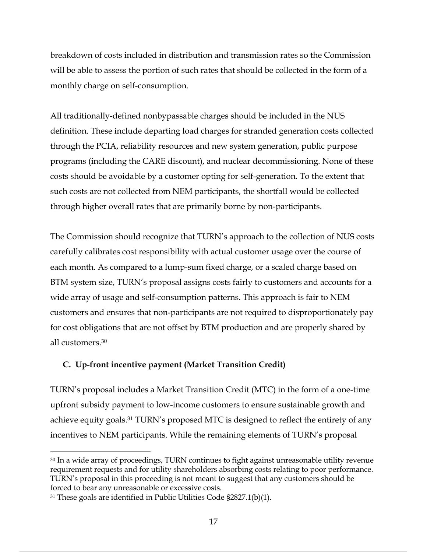breakdown of costs included in distribution and transmission rates so the Commission will be able to assess the portion of such rates that should be collected in the form of a monthly charge on self-consumption.

All traditionally-defined nonbypassable charges should be included in the NUS definition. These include departing load charges for stranded generation costs collected through the PCIA, reliability resources and new system generation, public purpose programs (including the CARE discount), and nuclear decommissioning. None of these costs should be avoidable by a customer opting for self-generation. To the extent that such costs are not collected from NEM participants, the shortfall would be collected through higher overall rates that are primarily borne by non-participants.

The Commission should recognize that TURN's approach to the collection of NUS costs carefully calibrates cost responsibility with actual customer usage over the course of each month. As compared to a lump-sum fixed charge, or a scaled charge based on BTM system size, TURN's proposal assigns costs fairly to customers and accounts for a wide array of usage and self-consumption patterns. This approach is fair to NEM customers and ensures that non-participants are not required to disproportionately pay for cost obligations that are not offset by BTM production and are properly shared by all customers.30

## **C. Up-front incentive payment (Market Transition Credit)**

TURN's proposal includes a Market Transition Credit (MTC) in the form of a one-time upfront subsidy payment to low-income customers to ensure sustainable growth and achieve equity goals. <sup>31</sup> TURN's proposed MTC is designed to reflect the entirety of any incentives to NEM participants. While the remaining elements of TURN's proposal

<sup>30</sup> In a wide array of proceedings, TURN continues to fight against unreasonable utility revenue requirement requests and for utility shareholders absorbing costs relating to poor performance. TURN's proposal in this proceeding is not meant to suggest that any customers should be forced to bear any unreasonable or excessive costs.

<sup>31</sup> These goals are identified in Public Utilities Code §2827.1(b)(1).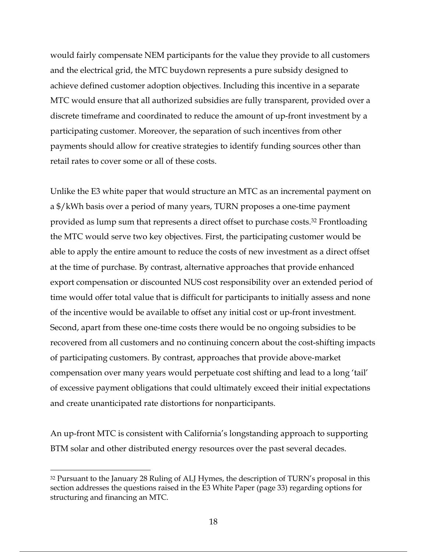would fairly compensate NEM participants for the value they provide to all customers and the electrical grid, the MTC buydown represents a pure subsidy designed to achieve defined customer adoption objectives. Including this incentive in a separate MTC would ensure that all authorized subsidies are fully transparent, provided over a discrete timeframe and coordinated to reduce the amount of up-front investment by a participating customer. Moreover, the separation of such incentives from other payments should allow for creative strategies to identify funding sources other than retail rates to cover some or all of these costs.

Unlike the E3 white paper that would structure an MTC as an incremental payment on a \$/kWh basis over a period of many years, TURN proposes a one-time payment provided as lump sum that represents a direct offset to purchase costs.32 Frontloading the MTC would serve two key objectives. First, the participating customer would be able to apply the entire amount to reduce the costs of new investment as a direct offset at the time of purchase. By contrast, alternative approaches that provide enhanced export compensation or discounted NUS cost responsibility over an extended period of time would offer total value that is difficult for participants to initially assess and none of the incentive would be available to offset any initial cost or up-front investment. Second, apart from these one-time costs there would be no ongoing subsidies to be recovered from all customers and no continuing concern about the cost-shifting impacts of participating customers. By contrast, approaches that provide above-market compensation over many years would perpetuate cost shifting and lead to a long 'tail' of excessive payment obligations that could ultimately exceed their initial expectations and create unanticipated rate distortions for nonparticipants.

An up-front MTC is consistent with California's longstanding approach to supporting BTM solar and other distributed energy resources over the past several decades.

<sup>&</sup>lt;sup>32</sup> Pursuant to the January 28 Ruling of ALJ Hymes, the description of TURN's proposal in this section addresses the questions raised in the E3 White Paper (page 33) regarding options for structuring and financing an MTC.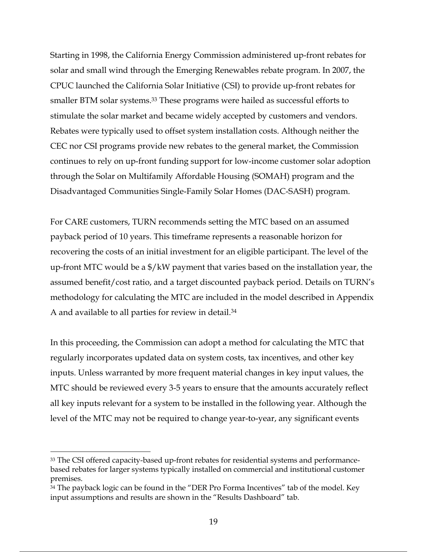Starting in 1998, the California Energy Commission administered up-front rebates for solar and small wind through the Emerging Renewables rebate program. In 2007, the CPUC launched the California Solar Initiative (CSI) to provide up-front rebates for smaller BTM solar systems.<sup>33</sup> These programs were hailed as successful efforts to stimulate the solar market and became widely accepted by customers and vendors. Rebates were typically used to offset system installation costs. Although neither the CEC nor CSI programs provide new rebates to the general market, the Commission continues to rely on up-front funding support for low-income customer solar adoption through the Solar on Multifamily Affordable Housing (SOMAH) program and the Disadvantaged Communities Single-Family Solar Homes (DAC-SASH) program.

For CARE customers, TURN recommends setting the MTC based on an assumed payback period of 10 years. This timeframe represents a reasonable horizon for recovering the costs of an initial investment for an eligible participant. The level of the up-front MTC would be a \$/kW payment that varies based on the installation year, the assumed benefit/cost ratio, and a target discounted payback period. Details on TURN's methodology for calculating the MTC are included in the model described in Appendix A and available to all parties for review in detail. 34

In this proceeding, the Commission can adopt a method for calculating the MTC that regularly incorporates updated data on system costs, tax incentives, and other key inputs. Unless warranted by more frequent material changes in key input values, the MTC should be reviewed every 3-5 years to ensure that the amounts accurately reflect all key inputs relevant for a system to be installed in the following year. Although the level of the MTC may not be required to change year-to-year, any significant events

<sup>33</sup> The CSI offered capacity-based up-front rebates for residential systems and performancebased rebates for larger systems typically installed on commercial and institutional customer premises.

<sup>&</sup>lt;sup>34</sup> The payback logic can be found in the "DER Pro Forma Incentives" tab of the model. Key input assumptions and results are shown in the "Results Dashboard" tab.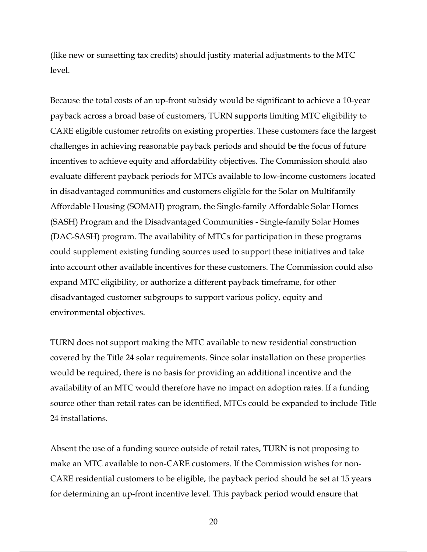(like new or sunsetting tax credits) should justify material adjustments to the MTC level.

Because the total costs of an up-front subsidy would be significant to achieve a 10-year payback across a broad base of customers, TURN supports limiting MTC eligibility to CARE eligible customer retrofits on existing properties. These customers face the largest challenges in achieving reasonable payback periods and should be the focus of future incentives to achieve equity and affordability objectives. The Commission should also evaluate different payback periods for MTCs available to low-income customers located in disadvantaged communities and customers eligible for the Solar on Multifamily Affordable Housing (SOMAH) program, the Single-family Affordable Solar Homes (SASH) Program and the Disadvantaged Communities - Single-family Solar Homes (DAC-SASH) program. The availability of MTCs for participation in these programs could supplement existing funding sources used to support these initiatives and take into account other available incentives for these customers. The Commission could also expand MTC eligibility, or authorize a different payback timeframe, for other disadvantaged customer subgroups to support various policy, equity and environmental objectives.

TURN does not support making the MTC available to new residential construction covered by the Title 24 solar requirements. Since solar installation on these properties would be required, there is no basis for providing an additional incentive and the availability of an MTC would therefore have no impact on adoption rates. If a funding source other than retail rates can be identified, MTCs could be expanded to include Title 24 installations.

Absent the use of a funding source outside of retail rates, TURN is not proposing to make an MTC available to non-CARE customers. If the Commission wishes for non-CARE residential customers to be eligible, the payback period should be set at 15 years for determining an up-front incentive level. This payback period would ensure that

20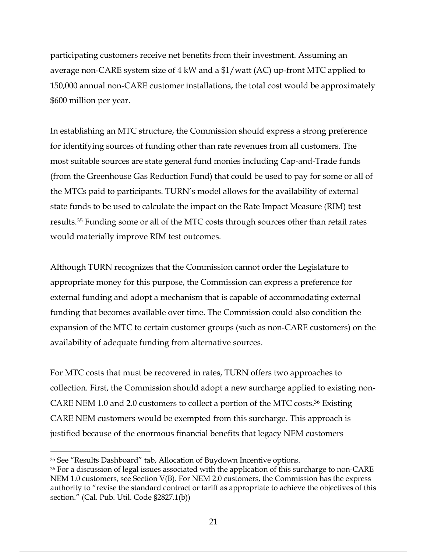participating customers receive net benefits from their investment. Assuming an average non-CARE system size of 4 kW and a \$1/watt (AC) up-front MTC applied to 150,000 annual non-CARE customer installations, the total cost would be approximately \$600 million per year.

In establishing an MTC structure, the Commission should express a strong preference for identifying sources of funding other than rate revenues from all customers. The most suitable sources are state general fund monies including Cap-and-Trade funds (from the Greenhouse Gas Reduction Fund) that could be used to pay for some or all of the MTCs paid to participants. TURN's model allows for the availability of external state funds to be used to calculate the impact on the Rate Impact Measure (RIM) test results. <sup>35</sup> Funding some or all of the MTC costs through sources other than retail rates would materially improve RIM test outcomes.

Although TURN recognizes that the Commission cannot order the Legislature to appropriate money for this purpose, the Commission can express a preference for external funding and adopt a mechanism that is capable of accommodating external funding that becomes available over time. The Commission could also condition the expansion of the MTC to certain customer groups (such as non-CARE customers) on the availability of adequate funding from alternative sources.

For MTC costs that must be recovered in rates, TURN offers two approaches to collection. First, the Commission should adopt a new surcharge applied to existing non-CARE NEM 1.0 and 2.0 customers to collect a portion of the MTC costs.36 Existing CARE NEM customers would be exempted from this surcharge. This approach is justified because of the enormous financial benefits that legacy NEM customers

<sup>35</sup> See "Results Dashboard" tab, Allocation of Buydown Incentive options.

<sup>&</sup>lt;sup>36</sup> For a discussion of legal issues associated with the application of this surcharge to non-CARE NEM 1.0 customers, see Section V(B). For NEM 2.0 customers, the Commission has the express authority to "revise the standard contract or tariff as appropriate to achieve the objectives of this section." (Cal. Pub. Util. Code §2827.1(b))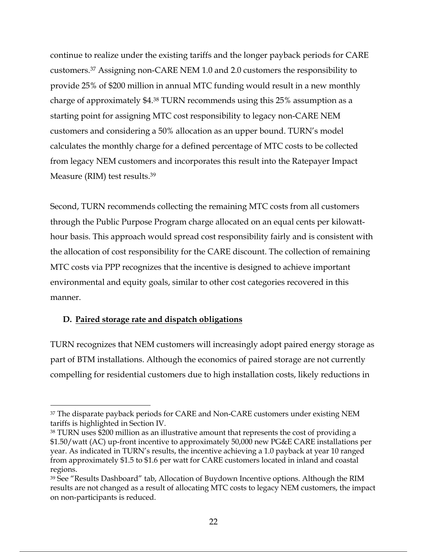continue to realize under the existing tariffs and the longer payback periods for CARE customers. <sup>37</sup> Assigning non-CARE NEM 1.0 and 2.0 customers the responsibility to provide 25% of \$200 million in annual MTC funding would result in a new monthly charge of approximately \$4. <sup>38</sup> TURN recommends using this 25% assumption as a starting point for assigning MTC cost responsibility to legacy non-CARE NEM customers and considering a 50% allocation as an upper bound. TURN's model calculates the monthly charge for a defined percentage of MTC costs to be collected from legacy NEM customers and incorporates this result into the Ratepayer Impact Measure (RIM) test results. 39

Second, TURN recommends collecting the remaining MTC costs from all customers through the Public Purpose Program charge allocated on an equal cents per kilowatthour basis. This approach would spread cost responsibility fairly and is consistent with the allocation of cost responsibility for the CARE discount. The collection of remaining MTC costs via PPP recognizes that the incentive is designed to achieve important environmental and equity goals, similar to other cost categories recovered in this manner.

#### **D. Paired storage rate and dispatch obligations**

TURN recognizes that NEM customers will increasingly adopt paired energy storage as part of BTM installations. Although the economics of paired storage are not currently compelling for residential customers due to high installation costs, likely reductions in

<sup>&</sup>lt;sup>37</sup> The disparate payback periods for CARE and Non-CARE customers under existing NEM tariffs is highlighted in Section IV.

<sup>38</sup> TURN uses \$200 million as an illustrative amount that represents the cost of providing a \$1.50/watt (AC) up-front incentive to approximately 50,000 new PG&E CARE installations per year. As indicated in TURN's results, the incentive achieving a 1.0 payback at year 10 ranged from approximately \$1.5 to \$1.6 per watt for CARE customers located in inland and coastal regions.

<sup>39</sup> See "Results Dashboard" tab, Allocation of Buydown Incentive options. Although the RIM results are not changed as a result of allocating MTC costs to legacy NEM customers, the impact on non-participants is reduced.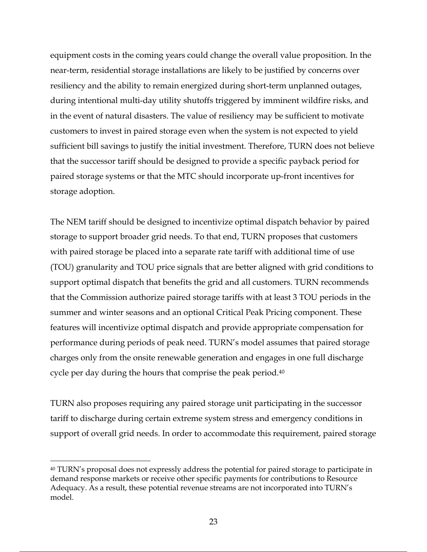equipment costs in the coming years could change the overall value proposition. In the near-term, residential storage installations are likely to be justified by concerns over resiliency and the ability to remain energized during short-term unplanned outages, during intentional multi-day utility shutoffs triggered by imminent wildfire risks, and in the event of natural disasters. The value of resiliency may be sufficient to motivate customers to invest in paired storage even when the system is not expected to yield sufficient bill savings to justify the initial investment. Therefore, TURN does not believe that the successor tariff should be designed to provide a specific payback period for paired storage systems or that the MTC should incorporate up-front incentives for storage adoption.

The NEM tariff should be designed to incentivize optimal dispatch behavior by paired storage to support broader grid needs. To that end, TURN proposes that customers with paired storage be placed into a separate rate tariff with additional time of use (TOU) granularity and TOU price signals that are better aligned with grid conditions to support optimal dispatch that benefits the grid and all customers. TURN recommends that the Commission authorize paired storage tariffs with at least 3 TOU periods in the summer and winter seasons and an optional Critical Peak Pricing component. These features will incentivize optimal dispatch and provide appropriate compensation for performance during periods of peak need. TURN's model assumes that paired storage charges only from the onsite renewable generation and engages in one full discharge cycle per day during the hours that comprise the peak period.40

TURN also proposes requiring any paired storage unit participating in the successor tariff to discharge during certain extreme system stress and emergency conditions in support of overall grid needs. In order to accommodate this requirement, paired storage

<sup>40</sup> TURN's proposal does not expressly address the potential for paired storage to participate in demand response markets or receive other specific payments for contributions to Resource Adequacy. As a result, these potential revenue streams are not incorporated into TURN's model.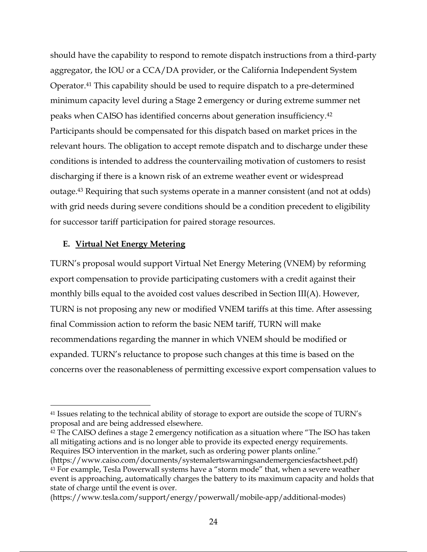should have the capability to respond to remote dispatch instructions from a third-party aggregator, the IOU or a CCA/DA provider, or the California Independent System Operator.41 This capability should be used to require dispatch to a pre-determined minimum capacity level during a Stage 2 emergency or during extreme summer net peaks when CAISO has identified concerns about generation insufficiency.42 Participants should be compensated for this dispatch based on market prices in the relevant hours. The obligation to accept remote dispatch and to discharge under these conditions is intended to address the countervailing motivation of customers to resist discharging if there is a known risk of an extreme weather event or widespread outage.43 Requiring that such systems operate in a manner consistent (and not at odds) with grid needs during severe conditions should be a condition precedent to eligibility for successor tariff participation for paired storage resources.

## **E. Virtual Net Energy Metering**

TURN's proposal would support Virtual Net Energy Metering (VNEM) by reforming export compensation to provide participating customers with a credit against their monthly bills equal to the avoided cost values described in Section III(A). However, TURN is not proposing any new or modified VNEM tariffs at this time. After assessing final Commission action to reform the basic NEM tariff, TURN will make recommendations regarding the manner in which VNEM should be modified or expanded. TURN's reluctance to propose such changes at this time is based on the concerns over the reasonableness of permitting excessive export compensation values to

<sup>42</sup> The CAISO defines a stage 2 emergency notification as a situation where "The ISO has taken all mitigating actions and is no longer able to provide its expected energy requirements. Requires ISO intervention in the market, such as ordering power plants online."

<sup>41</sup> Issues relating to the technical ability of storage to export are outside the scope of TURN's proposal and are being addressed elsewhere.

<sup>(</sup>https://www.caiso.com/documents/systemalertswarningsandemergenciesfactsheet.pdf) <sup>43</sup> For example, Tesla Powerwall systems have a "storm mode" that, when a severe weather event is approaching, automatically charges the battery to its maximum capacity and holds that state of charge until the event is over.

<sup>(</sup>https://www.tesla.com/support/energy/powerwall/mobile-app/additional-modes)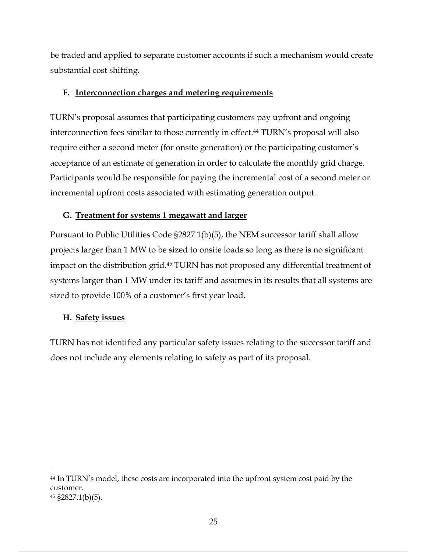be traded and applied to separate customer accounts if such a mechanism would create substantial cost shifting.

## **F. Interconnection charges and metering requirements**

TURN's proposal assumes that participating customers pay upfront and ongoing interconnection fees similar to those currently in effect.<sup>44</sup> TURN's proposal will also require either a second meter (for onsite generation) or the participating customer's acceptance of an estimate of generation in order to calculate the monthly grid charge. Participants would be responsible for paying the incremental cost of a second meter or incremental upfront costs associated with estimating generation output.

## **G. Treatment for systems 1 megawatt and larger**

Pursuant to Public Utilities Code §2827.1(b)(5), the NEM successor tariff shall allow projects larger than 1 MW to be sized to onsite loads so long as there is no significant impact on the distribution grid.45 TURN has not proposed any differential treatment of systems larger than 1 MW under its tariff and assumes in its results that all systems are sized to provide 100% of a customer's first year load.

## **H. Safety issues**

TURN has not identified any particular safety issues relating to the successor tariff and does not include any elements relating to safety as part of its proposal.

<sup>44</sup> In TURN's model, these costs are incorporated into the upfront system cost paid by the customer.

<sup>45</sup> §2827.1(b)(5).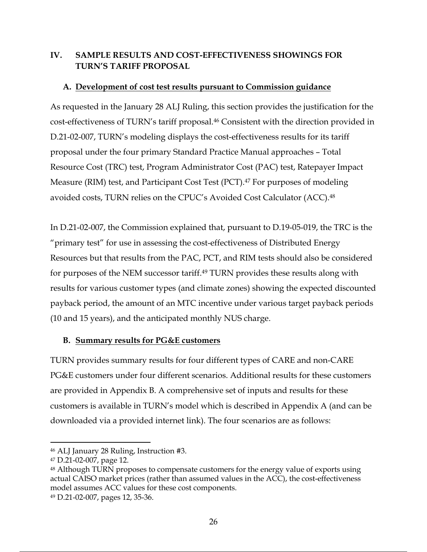## **IV. SAMPLE RESULTS AND COST-EFFECTIVENESS SHOWINGS FOR TURN'S TARIFF PROPOSAL**

## **A. Development of cost test results pursuant to Commission guidance**

As requested in the January 28 ALJ Ruling, this section provides the justification for the cost-effectiveness of TURN's tariff proposal. <sup>46</sup> Consistent with the direction provided in D.21-02-007, TURN's modeling displays the cost-effectiveness results for its tariff proposal under the four primary Standard Practice Manual approaches – Total Resource Cost (TRC) test, Program Administrator Cost (PAC) test, Ratepayer Impact Measure (RIM) test, and Participant Cost Test (PCT).<sup>47</sup> For purposes of modeling avoided costs, TURN relies on the CPUC's Avoided Cost Calculator (ACC). 48

In D.21-02-007, the Commission explained that, pursuant to D.19-05-019, the TRC is the "primary test" for use in assessing the cost-effectiveness of Distributed Energy Resources but that results from the PAC, PCT, and RIM tests should also be considered for purposes of the NEM successor tariff. <sup>49</sup> TURN provides these results along with results for various customer types (and climate zones) showing the expected discounted payback period, the amount of an MTC incentive under various target payback periods (10 and 15 years), and the anticipated monthly NUS charge.

## **B. Summary results for PG&E customers**

TURN provides summary results for four different types of CARE and non-CARE PG&E customers under four different scenarios. Additional results for these customers are provided in Appendix B. A comprehensive set of inputs and results for these customers is available in TURN's model which is described in Appendix A (and can be downloaded via a provided internet link). The four scenarios are as follows:

<sup>49</sup> D.21-02-007, pages 12, 35-36.

<sup>46</sup> ALJ January 28 Ruling, Instruction #3.

<sup>47</sup> D.21-02-007, page 12.

<sup>48</sup> Although TURN proposes to compensate customers for the energy value of exports using actual CAISO market prices (rather than assumed values in the ACC), the cost-effectiveness model assumes ACC values for these cost components.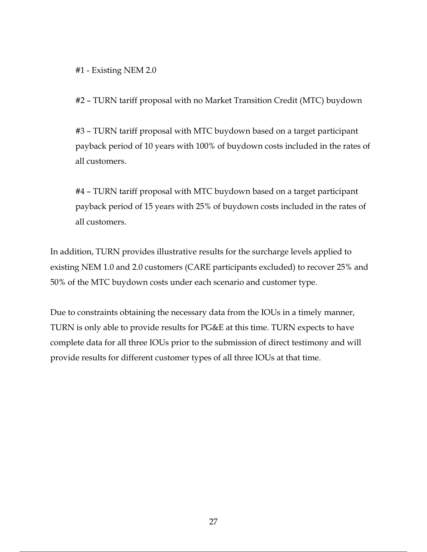#1 - Existing NEM 2.0

#2 – TURN tariff proposal with no Market Transition Credit (MTC) buydown

#3 – TURN tariff proposal with MTC buydown based on a target participant payback period of 10 years with 100% of buydown costs included in the rates of all customers.

#4 – TURN tariff proposal with MTC buydown based on a target participant payback period of 15 years with 25% of buydown costs included in the rates of all customers.

In addition, TURN provides illustrative results for the surcharge levels applied to existing NEM 1.0 and 2.0 customers (CARE participants excluded) to recover 25% and 50% of the MTC buydown costs under each scenario and customer type.

Due to constraints obtaining the necessary data from the IOUs in a timely manner, TURN is only able to provide results for PG&E at this time. TURN expects to have complete data for all three IOUs prior to the submission of direct testimony and will provide results for different customer types of all three IOUs at that time.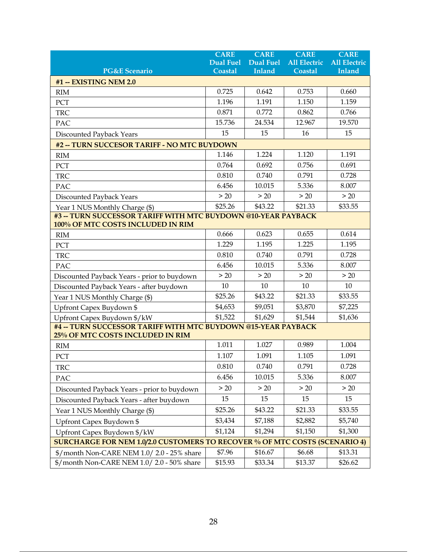|                                                                                                          | <b>CARE</b><br><b>Dual Fuel</b>                                                   | <b>CARE</b><br><b>Dual Fuel</b> | <b>CARE</b><br><b>All Electric</b> | <b>CARE</b><br><b>All Electric</b> |
|----------------------------------------------------------------------------------------------------------|-----------------------------------------------------------------------------------|---------------------------------|------------------------------------|------------------------------------|
| <b>PG&amp;E Scenario</b>                                                                                 | <b>Coastal</b>                                                                    | Inland                          | Coastal                            | Inland                             |
| <b>#1 -- EXISTING NEM 2.0</b>                                                                            |                                                                                   |                                 |                                    |                                    |
| <b>RIM</b>                                                                                               | 0.725                                                                             | 0.642                           | 0.753                              | 0.660                              |
| PCT                                                                                                      | 1.196                                                                             | 1.191                           | 1.150                              | 1.159                              |
| <b>TRC</b>                                                                                               | 0.871                                                                             | 0.772                           | 0.862                              | 0.766                              |
| PAC                                                                                                      | 15.736                                                                            | 24.534                          | 12.967                             | 19.570                             |
| <b>Discounted Payback Years</b>                                                                          | 15                                                                                | 15                              | 16                                 | 15                                 |
| #2 -- TURN SUCCESOR TARIFF - NO MTC BUYDOWN                                                              |                                                                                   |                                 |                                    |                                    |
| <b>RIM</b>                                                                                               | 1.146                                                                             | 1.224                           | 1.120                              | 1.191                              |
| PCT                                                                                                      | 0.764                                                                             | 0.692                           | 0.756                              | 0.691                              |
| <b>TRC</b>                                                                                               | 0.810                                                                             | 0.740                           | 0.791                              | 0.728                              |
| PAC                                                                                                      | 6.456                                                                             | 10.015                          | 5.336                              | 8.007                              |
| Discounted Payback Years                                                                                 | > 20                                                                              | > 20                            | > 20                               | > 20                               |
| Year 1 NUS Monthly Charge (\$)                                                                           | \$25.26                                                                           | \$43.22                         | \$21.33                            | \$33.55                            |
| #3 -- TURN SUCCESSOR TARIFF WITH MTC BUYDOWN @10-YEAR PAYBACK                                            |                                                                                   |                                 |                                    |                                    |
| 100% OF MTC COSTS INCLUDED IN RIM                                                                        |                                                                                   |                                 |                                    |                                    |
| RIM                                                                                                      | 0.666                                                                             | 0.623                           | 0.655                              | 0.614                              |
| PCT                                                                                                      | 1.229                                                                             | 1.195                           | 1.225                              | 1.195                              |
| <b>TRC</b>                                                                                               | 0.810                                                                             | 0.740                           | 0.791                              | 0.728                              |
| PAC                                                                                                      | 6.456                                                                             | 10.015                          | 5.336                              | 8.007                              |
| Discounted Payback Years - prior to buydown                                                              | > 20                                                                              | > 20                            | > 20                               | > 20                               |
| Discounted Payback Years - after buydown                                                                 | 10                                                                                | 10                              | 10                                 | 10                                 |
| Year 1 NUS Monthly Charge (\$)                                                                           | \$25.26                                                                           | \$43.22                         | \$21.33                            | \$33.55                            |
| Upfront Capex Buydown \$                                                                                 | \$4,653                                                                           | \$9,051                         | \$3,870                            | \$7,225                            |
| Upfront Capex Buydown \$/kW                                                                              | \$1,522                                                                           | \$1,629                         | \$1,544                            | \$1,636                            |
| <b>#4 -- TURN SUCCESSOR TARIFF WITH MTC BUYDOWN @15-YEAR PAYBACK</b><br>25% OF MTC COSTS INCLUDED IN RIM |                                                                                   |                                 |                                    |                                    |
| <b>RIM</b>                                                                                               | 1.011                                                                             | 1.027                           | 0.989                              | 1.004                              |
| PCT                                                                                                      | 1.107                                                                             | 1.091                           | 1.105                              | 1.091                              |
| <b>TRC</b>                                                                                               | 0.810                                                                             | 0.740                           | 0.791                              | 0.728                              |
| PAC                                                                                                      | 6.456                                                                             | 10.015                          | 5.336                              | 8.007                              |
| Discounted Payback Years - prior to buydown                                                              | > 20                                                                              | > 20                            | > 20                               | > 20                               |
| Discounted Payback Years - after buydown                                                                 | 15                                                                                | 15                              | 15                                 | 15                                 |
| Year 1 NUS Monthly Charge (\$)                                                                           | \$25.26                                                                           | \$43.22                         | \$21.33                            | \$33.55                            |
| Upfront Capex Buydown \$                                                                                 | \$3,434                                                                           | \$7,188                         | \$2,882                            | \$5,740                            |
| Upfront Capex Buydown \$/kW                                                                              | \$1,124                                                                           | \$1,294                         | \$1,150                            | \$1,300                            |
|                                                                                                          | <b>SURCHARGE FOR NEM 1.0/2.0 CUSTOMERS TO RECOVER % OF MTC COSTS (SCENARIO 4)</b> |                                 |                                    |                                    |
| \$/month Non-CARE NEM 1.0/2.0 - 25% share                                                                | \$7.96                                                                            | \$16.67                         | \$6.68                             | \$13.31                            |
| \$/month Non-CARE NEM 1.0/2.0 - 50% share                                                                | \$15.93                                                                           | \$33.34                         | \$13.37                            | \$26.62                            |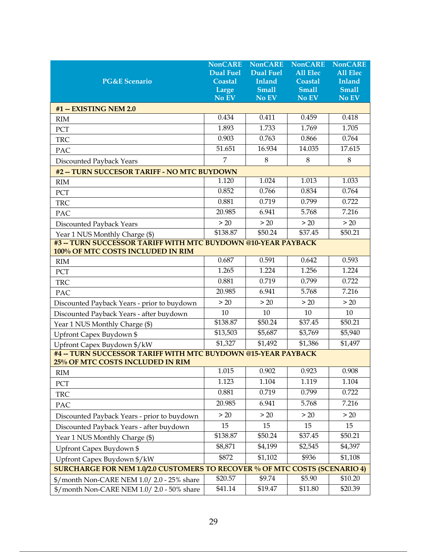| <b>PG&amp;E Scenario</b>                                                                                  | <b>NonCARE</b><br><b>Dual Fuel</b><br>Coastal<br>Large<br>No EV | <b>NonCARE</b><br><b>Dual Fuel</b><br><b>Inland</b><br><b>Small</b><br>No EV | <b>NonCARE</b><br><b>All Elec</b><br><b>Coastal</b><br><b>Small</b><br>No EV | <b>NonCARE</b><br><b>All Elec</b><br>Inland<br><b>Small</b><br>No EV |
|-----------------------------------------------------------------------------------------------------------|-----------------------------------------------------------------|------------------------------------------------------------------------------|------------------------------------------------------------------------------|----------------------------------------------------------------------|
| #1 -- EXISTING NEM 2.0                                                                                    |                                                                 |                                                                              |                                                                              |                                                                      |
| <b>RIM</b>                                                                                                | 0.434                                                           | 0.411                                                                        | 0.459                                                                        | 0.418                                                                |
| PCT                                                                                                       | 1.893                                                           | 1.733                                                                        | 1.769                                                                        | 1.705                                                                |
| <b>TRC</b>                                                                                                | 0.903                                                           | 0.763                                                                        | 0.866                                                                        | 0.764                                                                |
| PAC                                                                                                       | 51.651                                                          | 16.934                                                                       | 14.035                                                                       | 17.615                                                               |
| Discounted Payback Years                                                                                  | 7                                                               | 8                                                                            | $8\,$                                                                        | 8                                                                    |
| #2 -- TURN SUCCESOR TARIFF - NO MTC BUYDOWN                                                               |                                                                 |                                                                              |                                                                              |                                                                      |
| RIM                                                                                                       | 1.120                                                           | 1.024                                                                        | 1.013                                                                        | 1.033                                                                |
| PCT                                                                                                       | 0.852                                                           | 0.766                                                                        | 0.834                                                                        | 0.764                                                                |
| <b>TRC</b>                                                                                                | 0.881                                                           | 0.719                                                                        | 0.799                                                                        | 0.722                                                                |
| PAC                                                                                                       | 20.985                                                          | 6.941                                                                        | 5.768                                                                        | 7.216                                                                |
| Discounted Payback Years                                                                                  | > 20                                                            | > 20                                                                         | > 20                                                                         | > 20                                                                 |
| Year 1 NUS Monthly Charge (\$)                                                                            | \$138.87                                                        | \$50.24                                                                      | \$37.45                                                                      | \$50.21                                                              |
| <b>#3 -- TURN SUCCESSOR TARIFF WITH MTC BUYDOWN @10-YEAR PAYBACK</b><br>100% OF MTC COSTS INCLUDED IN RIM |                                                                 |                                                                              |                                                                              |                                                                      |
| RIM                                                                                                       | 0.687                                                           | 0.591                                                                        | 0.642                                                                        | 0.593                                                                |
| PCT                                                                                                       | 1.265                                                           | 1.224                                                                        | 1.256                                                                        | 1.224                                                                |
| <b>TRC</b>                                                                                                | 0.881                                                           | 0.719                                                                        | 0.799                                                                        | 0.722                                                                |
| PAC                                                                                                       | 20.985                                                          | 6.941                                                                        | 5.768                                                                        | 7.216                                                                |
| Discounted Payback Years - prior to buydown                                                               | $>20$                                                           | > 20                                                                         | > 20                                                                         | > 20                                                                 |
| Discounted Payback Years - after buydown                                                                  | 10                                                              | 10                                                                           | 10                                                                           | 10                                                                   |
| Year 1 NUS Monthly Charge (\$)                                                                            | \$138.87                                                        | \$50.24                                                                      | \$37.45                                                                      | \$50.21                                                              |
| Upfront Capex Buydown \$                                                                                  | \$13,503                                                        | \$5,687                                                                      | \$3,769                                                                      | \$5,940                                                              |
| Upfront Capex Buydown \$/kW                                                                               | \$1,327                                                         | \$1,492                                                                      | \$1,386                                                                      | \$1,497                                                              |
| #4 -- TURN SUCCESSOR TARIFF WITH MTC BUYDOWN @15-YEAR PAYBACK<br>25% OF MTC COSTS INCLUDED IN RIM         |                                                                 |                                                                              |                                                                              |                                                                      |
| RIM                                                                                                       | 1.015                                                           | 0.902                                                                        | 0.923                                                                        | 0.908                                                                |
| PCT                                                                                                       | 1.123                                                           | 1.104                                                                        | 1.119                                                                        | 1.104                                                                |
| <b>TRC</b>                                                                                                | 0.881                                                           | 0.719                                                                        | 0.799                                                                        | 0.722                                                                |
| PAC                                                                                                       | 20.985                                                          | 6.941                                                                        | 5.768                                                                        | 7.216                                                                |
| Discounted Payback Years - prior to buydown                                                               | > 20                                                            | > 20                                                                         | > 20                                                                         | > 20                                                                 |
| Discounted Payback Years - after buydown                                                                  | 15                                                              | 15                                                                           | 15                                                                           | 15                                                                   |
| Year 1 NUS Monthly Charge (\$)                                                                            | \$138.87                                                        | \$50.24                                                                      | \$37.45                                                                      | \$50.21                                                              |
| Upfront Capex Buydown \$                                                                                  | \$8,871                                                         | \$4,199                                                                      | \$2,545                                                                      | \$4,397                                                              |
| Upfront Capex Buydown \$/kW                                                                               | \$872                                                           | \$1,102                                                                      | \$936                                                                        | \$1,108                                                              |
| <b>SURCHARGE FOR NEM 1.0/2.0 CUSTOMERS TO RECOVER % OF MTC COSTS (SCENARIO 4)</b>                         |                                                                 |                                                                              |                                                                              |                                                                      |
| \$/month Non-CARE NEM 1.0/2.0 - 25% share                                                                 | \$20.57                                                         | \$9.74                                                                       | \$5.90                                                                       | \$10.20                                                              |
| \$/month Non-CARE NEM 1.0/2.0 - 50% share                                                                 | $\overline{$}41.14$                                             | \$19.47                                                                      | \$11.80                                                                      | \$20.39                                                              |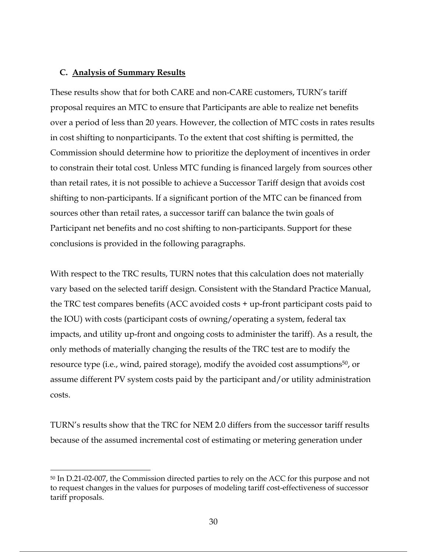#### **C. Analysis of Summary Results**

These results show that for both CARE and non-CARE customers, TURN's tariff proposal requires an MTC to ensure that Participants are able to realize net benefits over a period of less than 20 years. However, the collection of MTC costs in rates results in cost shifting to nonparticipants. To the extent that cost shifting is permitted, the Commission should determine how to prioritize the deployment of incentives in order to constrain their total cost. Unless MTC funding is financed largely from sources other than retail rates, it is not possible to achieve a Successor Tariff design that avoids cost shifting to non-participants. If a significant portion of the MTC can be financed from sources other than retail rates, a successor tariff can balance the twin goals of Participant net benefits and no cost shifting to non-participants. Support for these conclusions is provided in the following paragraphs.

With respect to the TRC results, TURN notes that this calculation does not materially vary based on the selected tariff design. Consistent with the Standard Practice Manual, the TRC test compares benefits (ACC avoided costs + up-front participant costs paid to the IOU) with costs (participant costs of owning/operating a system, federal tax impacts, and utility up-front and ongoing costs to administer the tariff). As a result, the only methods of materially changing the results of the TRC test are to modify the resource type (i.e., wind, paired storage), modify the avoided cost assumptions<sup>50</sup>, or assume different PV system costs paid by the participant and/or utility administration costs.

TURN's results show that the TRC for NEM 2.0 differs from the successor tariff results because of the assumed incremental cost of estimating or metering generation under

<sup>50</sup> In D.21-02-007, the Commission directed parties to rely on the ACC for this purpose and not to request changes in the values for purposes of modeling tariff cost-effectiveness of successor tariff proposals.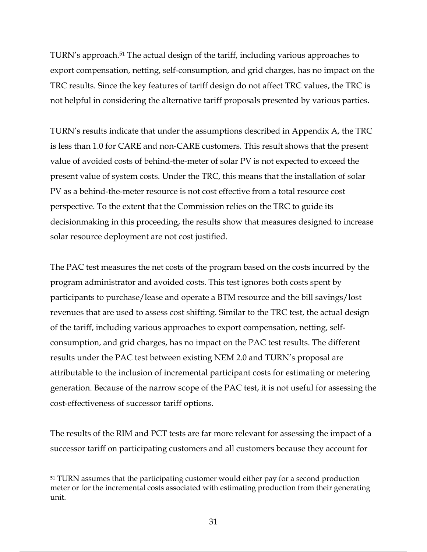TURN's approach. <sup>51</sup> The actual design of the tariff, including various approaches to export compensation, netting, self-consumption, and grid charges, has no impact on the TRC results. Since the key features of tariff design do not affect TRC values, the TRC is not helpful in considering the alternative tariff proposals presented by various parties.

TURN's results indicate that under the assumptions described in Appendix A, the TRC is less than 1.0 for CARE and non-CARE customers. This result shows that the present value of avoided costs of behind-the-meter of solar PV is not expected to exceed the present value of system costs. Under the TRC, this means that the installation of solar PV as a behind-the-meter resource is not cost effective from a total resource cost perspective. To the extent that the Commission relies on the TRC to guide its decisionmaking in this proceeding, the results show that measures designed to increase solar resource deployment are not cost justified.

The PAC test measures the net costs of the program based on the costs incurred by the program administrator and avoided costs. This test ignores both costs spent by participants to purchase/lease and operate a BTM resource and the bill savings/lost revenues that are used to assess cost shifting. Similar to the TRC test, the actual design of the tariff, including various approaches to export compensation, netting, selfconsumption, and grid charges, has no impact on the PAC test results. The different results under the PAC test between existing NEM 2.0 and TURN's proposal are attributable to the inclusion of incremental participant costs for estimating or metering generation. Because of the narrow scope of the PAC test, it is not useful for assessing the cost-effectiveness of successor tariff options.

The results of the RIM and PCT tests are far more relevant for assessing the impact of a successor tariff on participating customers and all customers because they account for

<sup>&</sup>lt;sup>51</sup> TURN assumes that the participating customer would either pay for a second production meter or for the incremental costs associated with estimating production from their generating unit.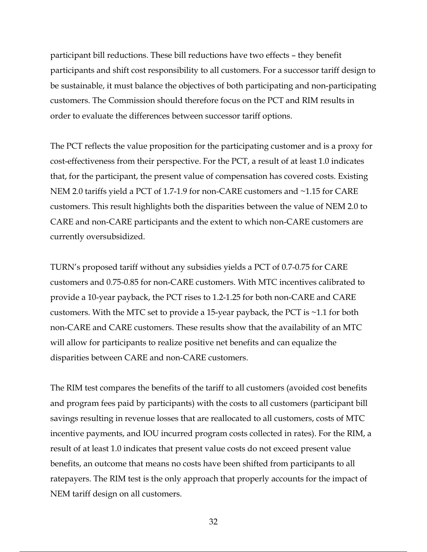participant bill reductions. These bill reductions have two effects – they benefit participants and shift cost responsibility to all customers. For a successor tariff design to be sustainable, it must balance the objectives of both participating and non-participating customers. The Commission should therefore focus on the PCT and RIM results in order to evaluate the differences between successor tariff options.

The PCT reflects the value proposition for the participating customer and is a proxy for cost-effectiveness from their perspective. For the PCT, a result of at least 1.0 indicates that, for the participant, the present value of compensation has covered costs. Existing NEM 2.0 tariffs yield a PCT of 1.7-1.9 for non-CARE customers and ~1.15 for CARE customers. This result highlights both the disparities between the value of NEM 2.0 to CARE and non-CARE participants and the extent to which non-CARE customers are currently oversubsidized.

TURN's proposed tariff without any subsidies yields a PCT of 0.7-0.75 for CARE customers and 0.75-0.85 for non-CARE customers. With MTC incentives calibrated to provide a 10-year payback, the PCT rises to 1.2-1.25 for both non-CARE and CARE customers. With the MTC set to provide a 15-year payback, the PCT is  $\sim$ 1.1 for both non-CARE and CARE customers. These results show that the availability of an MTC will allow for participants to realize positive net benefits and can equalize the disparities between CARE and non-CARE customers.

The RIM test compares the benefits of the tariff to all customers (avoided cost benefits and program fees paid by participants) with the costs to all customers (participant bill savings resulting in revenue losses that are reallocated to all customers, costs of MTC incentive payments, and IOU incurred program costs collected in rates). For the RIM, a result of at least 1.0 indicates that present value costs do not exceed present value benefits, an outcome that means no costs have been shifted from participants to all ratepayers. The RIM test is the only approach that properly accounts for the impact of NEM tariff design on all customers.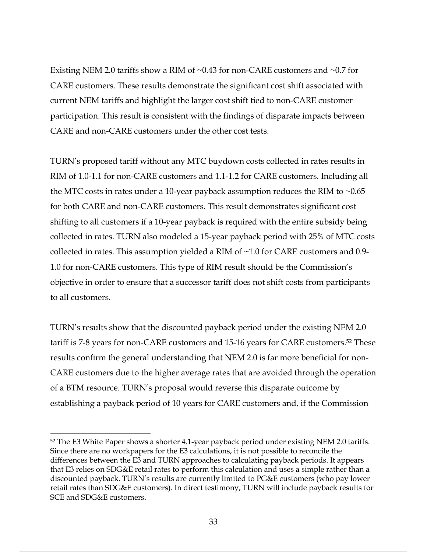Existing NEM 2.0 tariffs show a RIM of ~0.43 for non-CARE customers and ~0.7 for CARE customers. These results demonstrate the significant cost shift associated with current NEM tariffs and highlight the larger cost shift tied to non-CARE customer participation. This result is consistent with the findings of disparate impacts between CARE and non-CARE customers under the other cost tests.

TURN's proposed tariff without any MTC buydown costs collected in rates results in RIM of 1.0-1.1 for non-CARE customers and 1.1-1.2 for CARE customers. Including all the MTC costs in rates under a 10-year payback assumption reduces the RIM to  $\sim 0.65$ for both CARE and non-CARE customers. This result demonstrates significant cost shifting to all customers if a 10-year payback is required with the entire subsidy being collected in rates. TURN also modeled a 15-year payback period with 25% of MTC costs collected in rates. This assumption yielded a RIM of ~1.0 for CARE customers and 0.9- 1.0 for non-CARE customers. This type of RIM result should be the Commission's objective in order to ensure that a successor tariff does not shift costs from participants to all customers.

TURN's results show that the discounted payback period under the existing NEM 2.0 tariff is 7-8 years for non-CARE customers and 15-16 years for CARE customers.52 These results confirm the general understanding that NEM 2.0 is far more beneficial for non-CARE customers due to the higher average rates that are avoided through the operation of a BTM resource. TURN's proposal would reverse this disparate outcome by establishing a payback period of 10 years for CARE customers and, if the Commission

<sup>52</sup> The E3 White Paper shows a shorter 4.1-year payback period under existing NEM 2.0 tariffs. Since there are no workpapers for the E3 calculations, it is not possible to reconcile the differences between the E3 and TURN approaches to calculating payback periods. It appears that E3 relies on SDG&E retail rates to perform this calculation and uses a simple rather than a discounted payback. TURN's results are currently limited to PG&E customers (who pay lower retail rates than SDG&E customers). In direct testimony, TURN will include payback results for SCE and SDG&E customers.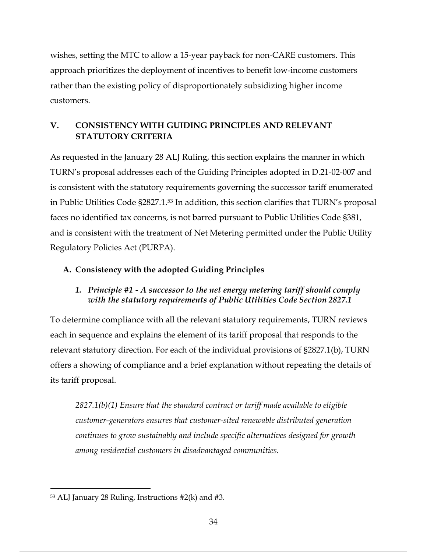wishes, setting the MTC to allow a 15-year payback for non-CARE customers. This approach prioritizes the deployment of incentives to benefit low-income customers rather than the existing policy of disproportionately subsidizing higher income customers.

## **V. CONSISTENCY WITH GUIDING PRINCIPLES AND RELEVANT STATUTORY CRITERIA**

As requested in the January 28 ALJ Ruling, this section explains the manner in which TURN's proposal addresses each of the Guiding Principles adopted in D.21-02-007 and is consistent with the statutory requirements governing the successor tariff enumerated in Public Utilities Code §2827.1.53 In addition, this section clarifies that TURN's proposal faces no identified tax concerns, is not barred pursuant to Public Utilities Code §381, and is consistent with the treatment of Net Metering permitted under the Public Utility Regulatory Policies Act (PURPA).

## **A. Consistency with the adopted Guiding Principles**

## *1. Principle #1 - A successor to the net energy metering tariff should comply with the statutory requirements of Public Utilities Code Section 2827.1*

To determine compliance with all the relevant statutory requirements, TURN reviews each in sequence and explains the element of its tariff proposal that responds to the relevant statutory direction. For each of the individual provisions of §2827.1(b), TURN offers a showing of compliance and a brief explanation without repeating the details of its tariff proposal.

*2827.1(b)(1) Ensure that the standard contract or tariff made available to eligible customer-generators ensures that customer-sited renewable distributed generation continues to grow sustainably and include specific alternatives designed for growth among residential customers in disadvantaged communities.*

 $53$  ALJ January 28 Ruling, Instructions  $#2(k)$  and  $#3$ .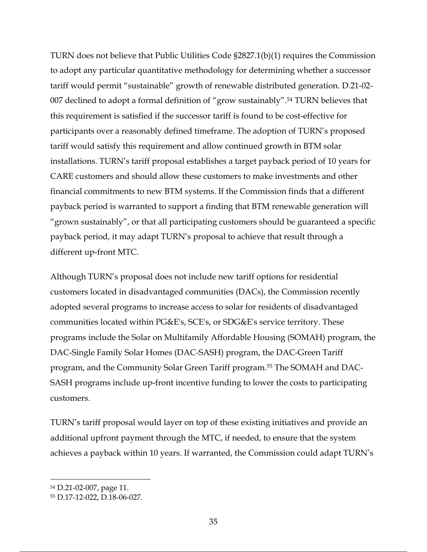TURN does not believe that Public Utilities Code §2827.1(b)(1) requires the Commission to adopt any particular quantitative methodology for determining whether a successor tariff would permit "sustainable" growth of renewable distributed generation. D.21-02- 007 declined to adopt a formal definition of "grow sustainably".54 TURN believes that this requirement is satisfied if the successor tariff is found to be cost-effective for participants over a reasonably defined timeframe. The adoption of TURN's proposed tariff would satisfy this requirement and allow continued growth in BTM solar installations. TURN's tariff proposal establishes a target payback period of 10 years for CARE customers and should allow these customers to make investments and other financial commitments to new BTM systems. If the Commission finds that a different payback period is warranted to support a finding that BTM renewable generation will "grown sustainably", or that all participating customers should be guaranteed a specific payback period, it may adapt TURN's proposal to achieve that result through a different up-front MTC.

Although TURN's proposal does not include new tariff options for residential customers located in disadvantaged communities (DACs), the Commission recently adopted several programs to increase access to solar for residents of disadvantaged communities located within PG&E's, SCE's, or SDG&E's service territory. These programs include the Solar on Multifamily Affordable Housing (SOMAH) program, the DAC-Single Family Solar Homes (DAC-SASH) program, the DAC-Green Tariff program, and the Community Solar Green Tariff program.55 The SOMAH and DAC-SASH programs include up-front incentive funding to lower the costs to participating customers.

TURN's tariff proposal would layer on top of these existing initiatives and provide an additional upfront payment through the MTC, if needed, to ensure that the system achieves a payback within 10 years. If warranted, the Commission could adapt TURN's

<sup>54</sup> D.21-02-007, page 11.

<sup>55</sup> D.17-12-022, D.18-06-027.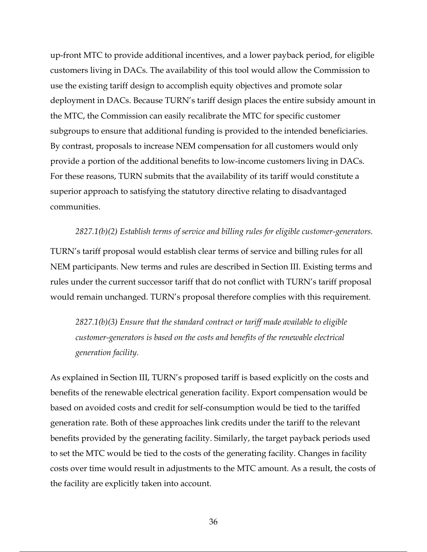up-front MTC to provide additional incentives, and a lower payback period, for eligible customers living in DACs. The availability of this tool would allow the Commission to use the existing tariff design to accomplish equity objectives and promote solar deployment in DACs. Because TURN's tariff design places the entire subsidy amount in the MTC, the Commission can easily recalibrate the MTC for specific customer subgroups to ensure that additional funding is provided to the intended beneficiaries. By contrast, proposals to increase NEM compensation for all customers would only provide a portion of the additional benefits to low-income customers living in DACs. For these reasons, TURN submits that the availability of its tariff would constitute a superior approach to satisfying the statutory directive relating to disadvantaged communities.

*2827.1(b)(2) Establish terms of service and billing rules for eligible customer-generators.*

TURN's tariff proposal would establish clear terms of service and billing rules for all NEM participants. New terms and rules are described in Section III. Existing terms and rules under the current successor tariff that do not conflict with TURN's tariff proposal would remain unchanged. TURN's proposal therefore complies with this requirement.

*2827.1(b)(3) Ensure that the standard contract or tariff made available to eligible customer-generators is based on the costs and benefits of the renewable electrical generation facility.*

As explained in Section III, TURN's proposed tariff is based explicitly on the costs and benefits of the renewable electrical generation facility. Export compensation would be based on avoided costs and credit for self-consumption would be tied to the tariffed generation rate. Both of these approaches link credits under the tariff to the relevant benefits provided by the generating facility. Similarly, the target payback periods used to set the MTC would be tied to the costs of the generating facility. Changes in facility costs over time would result in adjustments to the MTC amount. As a result, the costs of the facility are explicitly taken into account.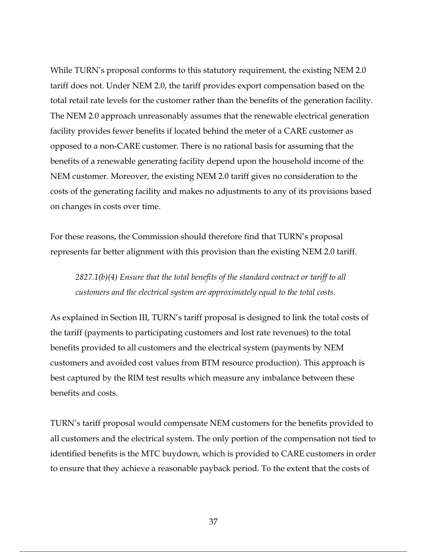While TURN's proposal conforms to this statutory requirement, the existing NEM 2.0 tariff does not. Under NEM 2.0, the tariff provides export compensation based on the total retail rate levels for the customer rather than the benefits of the generation facility. The NEM 2.0 approach unreasonably assumes that the renewable electrical generation facility provides fewer benefits if located behind the meter of a CARE customer as opposed to a non-CARE customer. There is no rational basis for assuming that the benefits of a renewable generating facility depend upon the household income of the NEM customer. Moreover, the existing NEM 2.0 tariff gives no consideration to the costs of the generating facility and makes no adjustments to any of its provisions based on changes in costs over time.

For these reasons, the Commission should therefore find that TURN's proposal represents far better alignment with this provision than the existing NEM 2.0 tariff.

*2827.1(b)(4) Ensure that the total benefits of the standard contract or tariff to all customers and the electrical system are approximately equal to the total costs.*

As explained in Section III, TURN's tariff proposal is designed to link the total costs of the tariff (payments to participating customers and lost rate revenues) to the total benefits provided to all customers and the electrical system (payments by NEM customers and avoided cost values from BTM resource production). This approach is best captured by the RIM test results which measure any imbalance between these benefits and costs.

TURN's tariff proposal would compensate NEM customers for the benefits provided to all customers and the electrical system. The only portion of the compensation not tied to identified benefits is the MTC buydown, which is provided to CARE customers in order to ensure that they achieve a reasonable payback period. To the extent that the costs of

37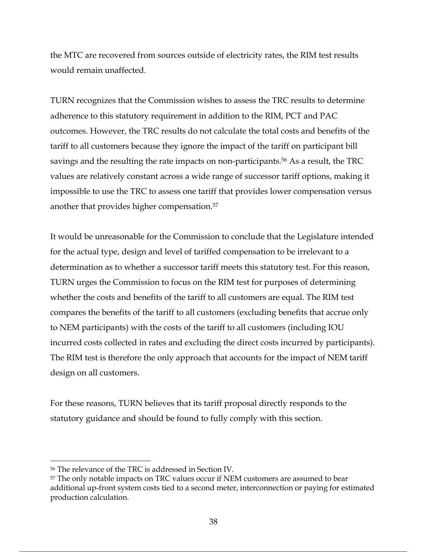the MTC are recovered from sources outside of electricity rates, the RIM test results would remain unaffected.

TURN recognizes that the Commission wishes to assess the TRC results to determine adherence to this statutory requirement in addition to the RIM, PCT and PAC outcomes. However, the TRC results do not calculate the total costs and benefits of the tariff to all customers because they ignore the impact of the tariff on participant bill savings and the resulting the rate impacts on non-participants.<sup>56</sup> As a result, the TRC values are relatively constant across a wide range of successor tariff options, making it impossible to use the TRC to assess one tariff that provides lower compensation versus another that provides higher compensation.57

It would be unreasonable for the Commission to conclude that the Legislature intended for the actual type, design and level of tariffed compensation to be irrelevant to a determination as to whether a successor tariff meets this statutory test. For this reason, TURN urges the Commission to focus on the RIM test for purposes of determining whether the costs and benefits of the tariff to all customers are equal. The RIM test compares the benefits of the tariff to all customers (excluding benefits that accrue only to NEM participants) with the costs of the tariff to all customers (including IOU incurred costs collected in rates and excluding the direct costs incurred by participants). The RIM test is therefore the only approach that accounts for the impact of NEM tariff design on all customers.

For these reasons, TURN believes that its tariff proposal directly responds to the statutory guidance and should be found to fully comply with this section.

<sup>56</sup> The relevance of the TRC is addressed in Section IV.

<sup>57</sup> The only notable impacts on TRC values occur if NEM customers are assumed to bear additional up-front system costs tied to a second meter, interconnection or paying for estimated production calculation.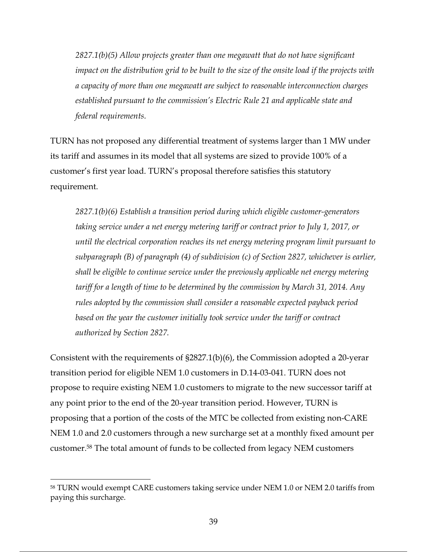*2827.1(b)(5) Allow projects greater than one megawatt that do not have significant impact on the distribution grid to be built to the size of the onsite load if the projects with a capacity of more than one megawatt are subject to reasonable interconnection charges established pursuant to the commission's Electric Rule 21 and applicable state and federal requirements.*

TURN has not proposed any differential treatment of systems larger than 1 MW under its tariff and assumes in its model that all systems are sized to provide 100% of a customer's first year load. TURN's proposal therefore satisfies this statutory requirement.

*2827.1(b)(6) Establish a transition period during which eligible customer-generators taking service under a net energy metering tariff or contract prior to July 1, 2017, or until the electrical corporation reaches its net energy metering program limit pursuant to subparagraph (B) of paragraph (4) of subdivision (c) of Section 2827, whichever is earlier, shall be eligible to continue service under the previously applicable net energy metering tariff for a length of time to be determined by the commission by March 31, 2014. Any rules adopted by the commission shall consider a reasonable expected payback period*  based on the year the customer initially took service under the tariff or contract *authorized by Section 2827.*

Consistent with the requirements of §2827.1(b)(6), the Commission adopted a 20-yerar transition period for eligible NEM 1.0 customers in D.14-03-041. TURN does not propose to require existing NEM 1.0 customers to migrate to the new successor tariff at any point prior to the end of the 20-year transition period. However, TURN is proposing that a portion of the costs of the MTC be collected from existing non-CARE NEM 1.0 and 2.0 customers through a new surcharge set at a monthly fixed amount per customer.58 The total amount of funds to be collected from legacy NEM customers

<sup>58</sup> TURN would exempt CARE customers taking service under NEM 1.0 or NEM 2.0 tariffs from paying this surcharge.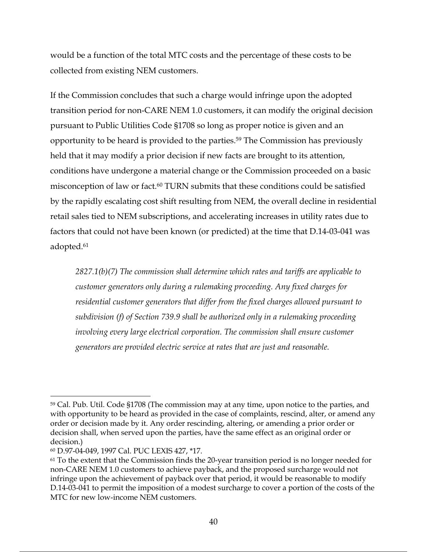would be a function of the total MTC costs and the percentage of these costs to be collected from existing NEM customers.

If the Commission concludes that such a charge would infringe upon the adopted transition period for non-CARE NEM 1.0 customers, it can modify the original decision pursuant to Public Utilities Code §1708 so long as proper notice is given and an opportunity to be heard is provided to the parties. <sup>59</sup> The Commission has previously held that it may modify a prior decision if new facts are brought to its attention, conditions have undergone a material change or the Commission proceeded on a basic misconception of law or fact.60 TURN submits that these conditions could be satisfied by the rapidly escalating cost shift resulting from NEM, the overall decline in residential retail sales tied to NEM subscriptions, and accelerating increases in utility rates due to factors that could not have been known (or predicted) at the time that D.14-03-041 was adopted.61

*2827.1(b)(7) The commission shall determine which rates and tariffs are applicable to customer generators only during a rulemaking proceeding. Any fixed charges for residential customer generators that differ from the fixed charges allowed pursuant to subdivision (f) of Section 739.9 shall be authorized only in a rulemaking proceeding involving every large electrical corporation. The commission shall ensure customer generators are provided electric service at rates that are just and reasonable.*

<sup>59</sup> Cal. Pub. Util. Code §1708 (The commission may at any time, upon notice to the parties, and with opportunity to be heard as provided in the case of complaints, rescind, alter, or amend any order or decision made by it. Any order rescinding, altering, or amending a prior order or decision shall, when served upon the parties, have the same effect as an original order or decision.)

<sup>60</sup> D.97-04-049, 1997 Cal. PUC LEXIS 427, \*17.

<sup>61</sup> To the extent that the Commission finds the 20-year transition period is no longer needed for non-CARE NEM 1.0 customers to achieve payback, and the proposed surcharge would not infringe upon the achievement of payback over that period, it would be reasonable to modify D.14-03-041 to permit the imposition of a modest surcharge to cover a portion of the costs of the MTC for new low-income NEM customers.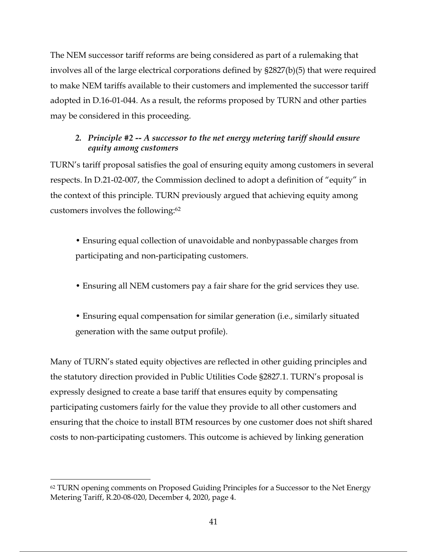The NEM successor tariff reforms are being considered as part of a rulemaking that involves all of the large electrical corporations defined by §2827(b)(5) that were required to make NEM tariffs available to their customers and implemented the successor tariff adopted in D.16-01-044. As a result, the reforms proposed by TURN and other parties may be considered in this proceeding.

## *2. Principle #2 -- A successor to the net energy metering tariff should ensure equity among customers*

TURN's tariff proposal satisfies the goal of ensuring equity among customers in several respects. In D.21-02-007, the Commission declined to adopt a definition of "equity" in the context of this principle. TURN previously argued that achieving equity among customers involves the following:62

• Ensuring equal collection of unavoidable and nonbypassable charges from participating and non-participating customers.

- Ensuring all NEM customers pay a fair share for the grid services they use.
- Ensuring equal compensation for similar generation (i.e., similarly situated generation with the same output profile).

Many of TURN's stated equity objectives are reflected in other guiding principles and the statutory direction provided in Public Utilities Code §2827.1. TURN's proposal is expressly designed to create a base tariff that ensures equity by compensating participating customers fairly for the value they provide to all other customers and ensuring that the choice to install BTM resources by one customer does not shift shared costs to non-participating customers. This outcome is achieved by linking generation

<sup>&</sup>lt;sup>62</sup> TURN opening comments on Proposed Guiding Principles for a Successor to the Net Energy Metering Tariff, R.20-08-020, December 4, 2020, page 4.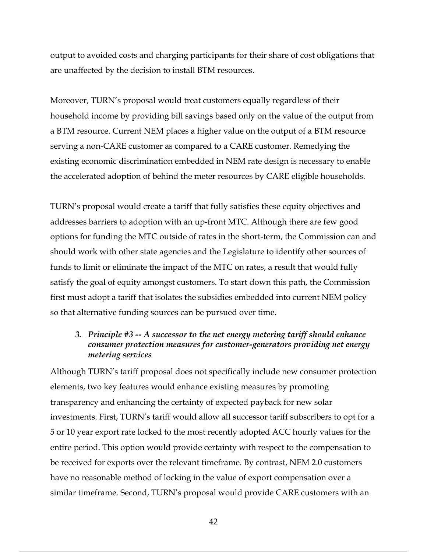output to avoided costs and charging participants for their share of cost obligations that are unaffected by the decision to install BTM resources.

Moreover, TURN's proposal would treat customers equally regardless of their household income by providing bill savings based only on the value of the output from a BTM resource. Current NEM places a higher value on the output of a BTM resource serving a non-CARE customer as compared to a CARE customer. Remedying the existing economic discrimination embedded in NEM rate design is necessary to enable the accelerated adoption of behind the meter resources by CARE eligible households.

TURN's proposal would create a tariff that fully satisfies these equity objectives and addresses barriers to adoption with an up-front MTC. Although there are few good options for funding the MTC outside of rates in the short-term, the Commission can and should work with other state agencies and the Legislature to identify other sources of funds to limit or eliminate the impact of the MTC on rates, a result that would fully satisfy the goal of equity amongst customers. To start down this path, the Commission first must adopt a tariff that isolates the subsidies embedded into current NEM policy so that alternative funding sources can be pursued over time.

## *3. Principle #3 -- A successor to the net energy metering tariff should enhance consumer protection measures for customer-generators providing net energy metering services*

Although TURN's tariff proposal does not specifically include new consumer protection elements, two key features would enhance existing measures by promoting transparency and enhancing the certainty of expected payback for new solar investments. First, TURN's tariff would allow all successor tariff subscribers to opt for a 5 or 10 year export rate locked to the most recently adopted ACC hourly values for the entire period. This option would provide certainty with respect to the compensation to be received for exports over the relevant timeframe. By contrast, NEM 2.0 customers have no reasonable method of locking in the value of export compensation over a similar timeframe. Second, TURN's proposal would provide CARE customers with an

42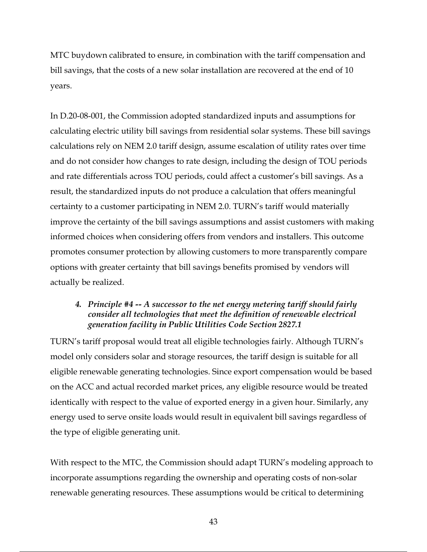MTC buydown calibrated to ensure, in combination with the tariff compensation and bill savings, that the costs of a new solar installation are recovered at the end of 10 years.

In D.20-08-001, the Commission adopted standardized inputs and assumptions for calculating electric utility bill savings from residential solar systems. These bill savings calculations rely on NEM 2.0 tariff design, assume escalation of utility rates over time and do not consider how changes to rate design, including the design of TOU periods and rate differentials across TOU periods, could affect a customer's bill savings. As a result, the standardized inputs do not produce a calculation that offers meaningful certainty to a customer participating in NEM 2.0. TURN's tariff would materially improve the certainty of the bill savings assumptions and assist customers with making informed choices when considering offers from vendors and installers. This outcome promotes consumer protection by allowing customers to more transparently compare options with greater certainty that bill savings benefits promised by vendors will actually be realized.

## *4. Principle #4 -- A successor to the net energy metering tariff should fairly consider all technologies that meet the definition of renewable electrical generation facility in Public Utilities Code Section 2827.1*

TURN's tariff proposal would treat all eligible technologies fairly. Although TURN's model only considers solar and storage resources, the tariff design is suitable for all eligible renewable generating technologies. Since export compensation would be based on the ACC and actual recorded market prices, any eligible resource would be treated identically with respect to the value of exported energy in a given hour. Similarly, any energy used to serve onsite loads would result in equivalent bill savings regardless of the type of eligible generating unit.

With respect to the MTC, the Commission should adapt TURN's modeling approach to incorporate assumptions regarding the ownership and operating costs of non-solar renewable generating resources. These assumptions would be critical to determining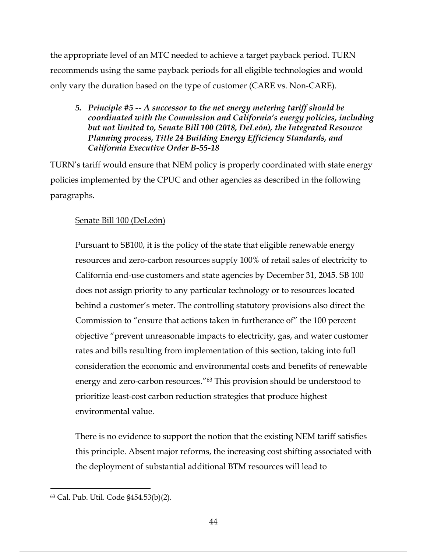the appropriate level of an MTC needed to achieve a target payback period. TURN recommends using the same payback periods for all eligible technologies and would only vary the duration based on the type of customer (CARE vs. Non-CARE).

*5. Principle #5 -- A successor to the net energy metering tariff should be coordinated with the Commission and California's energy policies, including but not limited to, Senate Bill 100 (2018, DeLeón), the Integrated Resource Planning process, Title 24 Building Energy Efficiency Standards, and California Executive Order B-55-18*

TURN's tariff would ensure that NEM policy is properly coordinated with state energy policies implemented by the CPUC and other agencies as described in the following paragraphs.

## Senate Bill 100 (DeLeón)

Pursuant to SB100, it is the policy of the state that eligible renewable energy resources and zero-carbon resources supply 100% of retail sales of electricity to California end-use customers and state agencies by December 31, 2045. SB 100 does not assign priority to any particular technology or to resources located behind a customer's meter. The controlling statutory provisions also direct the Commission to "ensure that actions taken in furtherance of" the 100 percent objective "prevent unreasonable impacts to electricity, gas, and water customer rates and bills resulting from implementation of this section, taking into full consideration the economic and environmental costs and benefits of renewable energy and zero-carbon resources."<sup>63</sup> This provision should be understood to prioritize least-cost carbon reduction strategies that produce highest environmental value.

There is no evidence to support the notion that the existing NEM tariff satisfies this principle. Absent major reforms, the increasing cost shifting associated with the deployment of substantial additional BTM resources will lead to

<sup>63</sup> Cal. Pub. Util. Code §454.53(b)(2).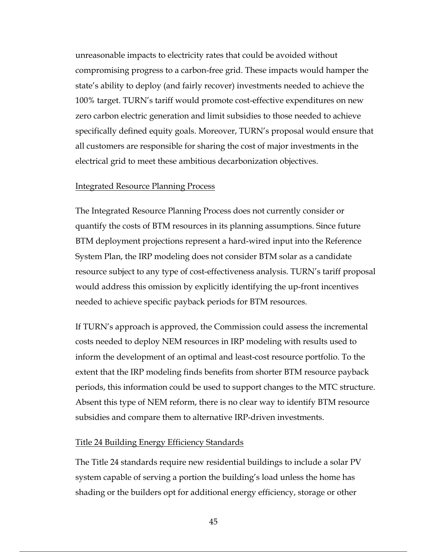unreasonable impacts to electricity rates that could be avoided without compromising progress to a carbon-free grid. These impacts would hamper the state's ability to deploy (and fairly recover) investments needed to achieve the 100% target. TURN's tariff would promote cost-effective expenditures on new zero carbon electric generation and limit subsidies to those needed to achieve specifically defined equity goals. Moreover, TURN's proposal would ensure that all customers are responsible for sharing the cost of major investments in the electrical grid to meet these ambitious decarbonization objectives.

#### Integrated Resource Planning Process

The Integrated Resource Planning Process does not currently consider or quantify the costs of BTM resources in its planning assumptions. Since future BTM deployment projections represent a hard-wired input into the Reference System Plan, the IRP modeling does not consider BTM solar as a candidate resource subject to any type of cost-effectiveness analysis. TURN's tariff proposal would address this omission by explicitly identifying the up-front incentives needed to achieve specific payback periods for BTM resources.

If TURN's approach is approved, the Commission could assess the incremental costs needed to deploy NEM resources in IRP modeling with results used to inform the development of an optimal and least-cost resource portfolio. To the extent that the IRP modeling finds benefits from shorter BTM resource payback periods, this information could be used to support changes to the MTC structure. Absent this type of NEM reform, there is no clear way to identify BTM resource subsidies and compare them to alternative IRP-driven investments.

#### Title 24 Building Energy Efficiency Standards

The Title 24 standards require new residential buildings to include a solar PV system capable of serving a portion the building's load unless the home has shading or the builders opt for additional energy efficiency, storage or other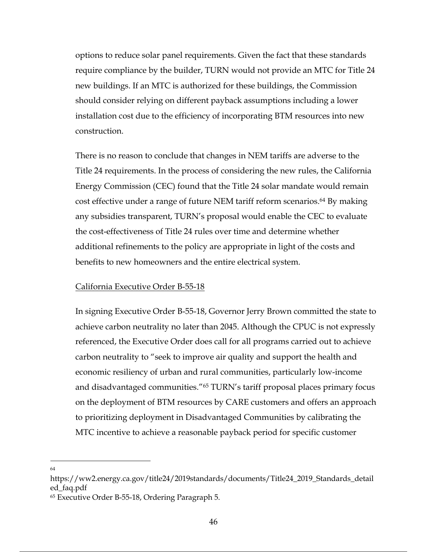options to reduce solar panel requirements. Given the fact that these standards require compliance by the builder, TURN would not provide an MTC for Title 24 new buildings. If an MTC is authorized for these buildings, the Commission should consider relying on different payback assumptions including a lower installation cost due to the efficiency of incorporating BTM resources into new construction.

There is no reason to conclude that changes in NEM tariffs are adverse to the Title 24 requirements. In the process of considering the new rules, the California Energy Commission (CEC) found that the Title 24 solar mandate would remain cost effective under a range of future NEM tariff reform scenarios.<sup>64</sup> By making any subsidies transparent, TURN's proposal would enable the CEC to evaluate the cost-effectiveness of Title 24 rules over time and determine whether additional refinements to the policy are appropriate in light of the costs and benefits to new homeowners and the entire electrical system.

#### California Executive Order B-55-18

In signing Executive Order B-55-18, Governor Jerry Brown committed the state to achieve carbon neutrality no later than 2045. Although the CPUC is not expressly referenced, the Executive Order does call for all programs carried out to achieve carbon neutrality to "seek to improve air quality and support the health and economic resiliency of urban and rural communities, particularly low-income and disadvantaged communities."65 TURN's tariff proposal places primary focus on the deployment of BTM resources by CARE customers and offers an approach to prioritizing deployment in Disadvantaged Communities by calibrating the MTC incentive to achieve a reasonable payback period for specific customer

64

https://ww2.energy.ca.gov/title24/2019standards/documents/Title24\_2019\_Standards\_detail ed\_faq.pdf

<sup>65</sup> Executive Order B-55-18, Ordering Paragraph 5.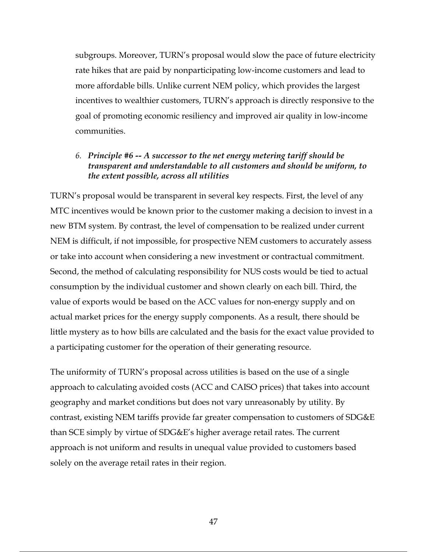subgroups. Moreover, TURN's proposal would slow the pace of future electricity rate hikes that are paid by nonparticipating low-income customers and lead to more affordable bills. Unlike current NEM policy, which provides the largest incentives to wealthier customers, TURN's approach is directly responsive to the goal of promoting economic resiliency and improved air quality in low-income communities.

## *6. Principle #6 -- A successor to the net energy metering tariff should be transparent and understandable to all customers and should be uniform, to the extent possible, across all utilities*

TURN's proposal would be transparent in several key respects. First, the level of any MTC incentives would be known prior to the customer making a decision to invest in a new BTM system. By contrast, the level of compensation to be realized under current NEM is difficult, if not impossible, for prospective NEM customers to accurately assess or take into account when considering a new investment or contractual commitment. Second, the method of calculating responsibility for NUS costs would be tied to actual consumption by the individual customer and shown clearly on each bill. Third, the value of exports would be based on the ACC values for non-energy supply and on actual market prices for the energy supply components. As a result, there should be little mystery as to how bills are calculated and the basis for the exact value provided to a participating customer for the operation of their generating resource.

The uniformity of TURN's proposal across utilities is based on the use of a single approach to calculating avoided costs (ACC and CAISO prices) that takes into account geography and market conditions but does not vary unreasonably by utility. By contrast, existing NEM tariffs provide far greater compensation to customers of SDG&E than SCE simply by virtue of SDG&E's higher average retail rates. The current approach is not uniform and results in unequal value provided to customers based solely on the average retail rates in their region.

47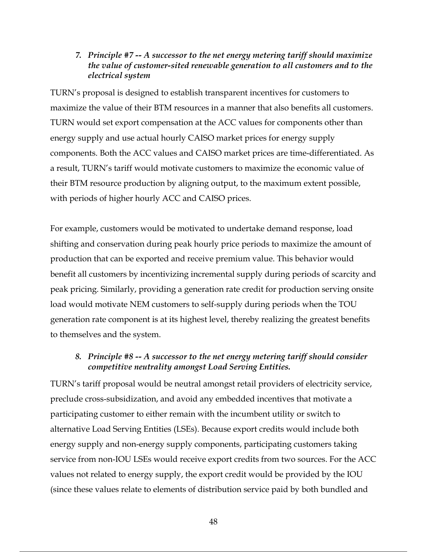#### *7. Principle #7 -- A successor to the net energy metering tariff should maximize the value of customer-sited renewable generation to all customers and to the electrical system*

TURN's proposal is designed to establish transparent incentives for customers to maximize the value of their BTM resources in a manner that also benefits all customers. TURN would set export compensation at the ACC values for components other than energy supply and use actual hourly CAISO market prices for energy supply components. Both the ACC values and CAISO market prices are time-differentiated. As a result, TURN's tariff would motivate customers to maximize the economic value of their BTM resource production by aligning output, to the maximum extent possible, with periods of higher hourly ACC and CAISO prices.

For example, customers would be motivated to undertake demand response, load shifting and conservation during peak hourly price periods to maximize the amount of production that can be exported and receive premium value. This behavior would benefit all customers by incentivizing incremental supply during periods of scarcity and peak pricing. Similarly, providing a generation rate credit for production serving onsite load would motivate NEM customers to self-supply during periods when the TOU generation rate component is at its highest level, thereby realizing the greatest benefits to themselves and the system.

#### *8. Principle #8 -- A successor to the net energy metering tariff should consider competitive neutrality amongst Load Serving Entities.*

TURN's tariff proposal would be neutral amongst retail providers of electricity service, preclude cross-subsidization, and avoid any embedded incentives that motivate a participating customer to either remain with the incumbent utility or switch to alternative Load Serving Entities (LSEs). Because export credits would include both energy supply and non-energy supply components, participating customers taking service from non-IOU LSEs would receive export credits from two sources. For the ACC values not related to energy supply, the export credit would be provided by the IOU (since these values relate to elements of distribution service paid by both bundled and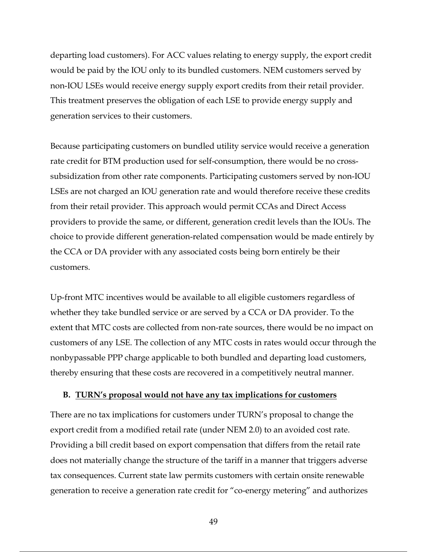departing load customers). For ACC values relating to energy supply, the export credit would be paid by the IOU only to its bundled customers. NEM customers served by non-IOU LSEs would receive energy supply export credits from their retail provider. This treatment preserves the obligation of each LSE to provide energy supply and generation services to their customers.

Because participating customers on bundled utility service would receive a generation rate credit for BTM production used for self-consumption, there would be no crosssubsidization from other rate components. Participating customers served by non-IOU LSEs are not charged an IOU generation rate and would therefore receive these credits from their retail provider. This approach would permit CCAs and Direct Access providers to provide the same, or different, generation credit levels than the IOUs. The choice to provide different generation-related compensation would be made entirely by the CCA or DA provider with any associated costs being born entirely be their customers.

Up-front MTC incentives would be available to all eligible customers regardless of whether they take bundled service or are served by a CCA or DA provider. To the extent that MTC costs are collected from non-rate sources, there would be no impact on customers of any LSE. The collection of any MTC costs in rates would occur through the nonbypassable PPP charge applicable to both bundled and departing load customers, thereby ensuring that these costs are recovered in a competitively neutral manner.

#### **B. TURN's proposal would not have any tax implications for customers**

There are no tax implications for customers under TURN's proposal to change the export credit from a modified retail rate (under NEM 2.0) to an avoided cost rate. Providing a bill credit based on export compensation that differs from the retail rate does not materially change the structure of the tariff in a manner that triggers adverse tax consequences. Current state law permits customers with certain onsite renewable generation to receive a generation rate credit for "co-energy metering" and authorizes

49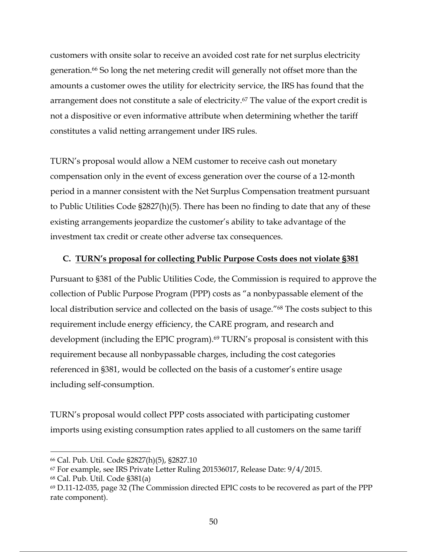customers with onsite solar to receive an avoided cost rate for net surplus electricity generation.66 So long the net metering credit will generally not offset more than the amounts a customer owes the utility for electricity service, the IRS has found that the arrangement does not constitute a sale of electricity.<sup>67</sup> The value of the export credit is not a dispositive or even informative attribute when determining whether the tariff constitutes a valid netting arrangement under IRS rules.

TURN's proposal would allow a NEM customer to receive cash out monetary compensation only in the event of excess generation over the course of a 12-month period in a manner consistent with the Net Surplus Compensation treatment pursuant to Public Utilities Code §2827(h)(5). There has been no finding to date that any of these existing arrangements jeopardize the customer's ability to take advantage of the investment tax credit or create other adverse tax consequences.

#### **C. TURN's proposal for collecting Public Purpose Costs does not violate §381**

Pursuant to §381 of the Public Utilities Code, the Commission is required to approve the collection of Public Purpose Program (PPP) costs as "a nonbypassable element of the local distribution service and collected on the basis of usage."<sup>68</sup> The costs subject to this requirement include energy efficiency, the CARE program, and research and development (including the EPIC program).<sup>69</sup> TURN's proposal is consistent with this requirement because all nonbypassable charges, including the cost categories referenced in §381, would be collected on the basis of a customer's entire usage including self-consumption.

TURN's proposal would collect PPP costs associated with participating customer imports using existing consumption rates applied to all customers on the same tariff

<sup>66</sup> Cal. Pub. Util. Code §2827(h)(5), §2827.10

<sup>67</sup> For example, see IRS Private Letter Ruling 201536017, Release Date: 9/4/2015.

<sup>68</sup> Cal. Pub. Util. Code §381(a)

<sup>69</sup> D.11-12-035, page 32 (The Commission directed EPIC costs to be recovered as part of the PPP rate component).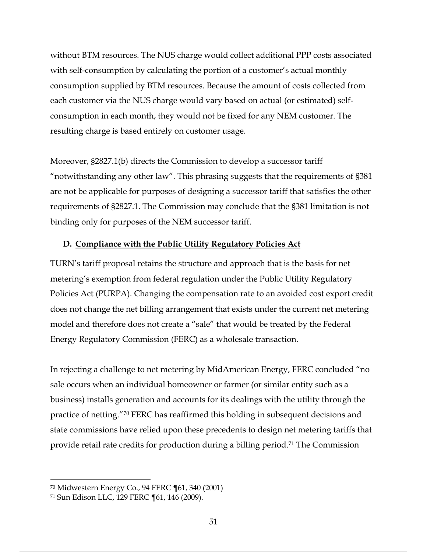without BTM resources. The NUS charge would collect additional PPP costs associated with self-consumption by calculating the portion of a customer's actual monthly consumption supplied by BTM resources. Because the amount of costs collected from each customer via the NUS charge would vary based on actual (or estimated) selfconsumption in each month, they would not be fixed for any NEM customer. The resulting charge is based entirely on customer usage.

Moreover, §2827.1(b) directs the Commission to develop a successor tariff "notwithstanding any other law". This phrasing suggests that the requirements of §381 are not be applicable for purposes of designing a successor tariff that satisfies the other requirements of §2827.1. The Commission may conclude that the §381 limitation is not binding only for purposes of the NEM successor tariff.

#### **D. Compliance with the Public Utility Regulatory Policies Act**

TURN's tariff proposal retains the structure and approach that is the basis for net metering's exemption from federal regulation under the Public Utility Regulatory Policies Act (PURPA). Changing the compensation rate to an avoided cost export credit does not change the net billing arrangement that exists under the current net metering model and therefore does not create a "sale" that would be treated by the Federal Energy Regulatory Commission (FERC) as a wholesale transaction.

In rejecting a challenge to net metering by MidAmerican Energy, FERC concluded "no sale occurs when an individual homeowner or farmer (or similar entity such as a business) installs generation and accounts for its dealings with the utility through the practice of netting."70 FERC has reaffirmed this holding in subsequent decisions and state commissions have relied upon these precedents to design net metering tariffs that provide retail rate credits for production during a billing period.71 The Commission

<sup>70</sup> Midwestern Energy Co., 94 FERC ¶61, 340 (2001)

<sup>71</sup> Sun Edison LLC, 129 FERC ¶61, 146 (2009).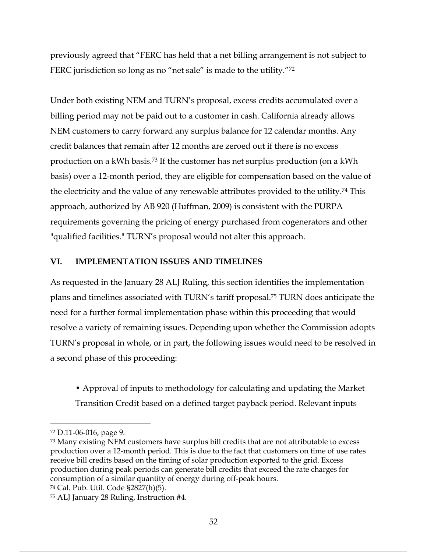previously agreed that "FERC has held that a net billing arrangement is not subject to FERC jurisdiction so long as no "net sale" is made to the utility."<sup>72</sup>

Under both existing NEM and TURN's proposal, excess credits accumulated over a billing period may not be paid out to a customer in cash. California already allows NEM customers to carry forward any surplus balance for 12 calendar months. Any credit balances that remain after 12 months are zeroed out if there is no excess production on a kWh basis.73 If the customer has net surplus production (on a kWh basis) over a 12-month period, they are eligible for compensation based on the value of the electricity and the value of any renewable attributes provided to the utility.74 This approach, authorized by AB 920 (Huffman, 2009) is consistent with the PURPA requirements governing the pricing of energy purchased from cogenerators and other "qualified facilities." TURN's proposal would not alter this approach.

## **VI. IMPLEMENTATION ISSUES AND TIMELINES**

As requested in the January 28 ALJ Ruling, this section identifies the implementation plans and timelines associated with TURN's tariff proposal.75 TURN does anticipate the need for a further formal implementation phase within this proceeding that would resolve a variety of remaining issues. Depending upon whether the Commission adopts TURN's proposal in whole, or in part, the following issues would need to be resolved in a second phase of this proceeding:

• Approval of inputs to methodology for calculating and updating the Market Transition Credit based on a defined target payback period. Relevant inputs

<sup>72</sup> D.11-06-016, page 9.

<sup>73</sup> Many existing NEM customers have surplus bill credits that are not attributable to excess production over a 12-month period. This is due to the fact that customers on time of use rates receive bill credits based on the timing of solar production exported to the grid. Excess production during peak periods can generate bill credits that exceed the rate charges for consumption of a similar quantity of energy during off-peak hours.

<sup>74</sup> Cal. Pub. Util. Code §2827(h)(5).

<sup>75</sup> ALJ January 28 Ruling, Instruction #4.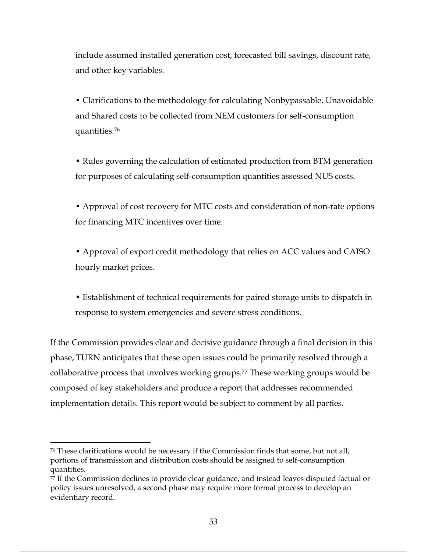include assumed installed generation cost, forecasted bill savings, discount rate, and other key variables.

• Clarifications to the methodology for calculating Nonbypassable, Unavoidable and Shared costs to be collected from NEM customers for self-consumption quantities.76

• Rules governing the calculation of estimated production from BTM generation for purposes of calculating self-consumption quantities assessed NUS costs.

• Approval of cost recovery for MTC costs and consideration of non-rate options for financing MTC incentives over time.

• Approval of export credit methodology that relies on ACC values and CAISO hourly market prices.

• Establishment of technical requirements for paired storage units to dispatch in response to system emergencies and severe stress conditions.

If the Commission provides clear and decisive guidance through a final decision in this phase, TURN anticipates that these open issues could be primarily resolved through a collaborative process that involves working groups.77 These working groups would be composed of key stakeholders and produce a report that addresses recommended implementation details. This report would be subject to comment by all parties.

<sup>76</sup> These clarifications would be necessary if the Commission finds that some, but not all, portions of transmission and distribution costs should be assigned to self-consumption quantities.

<sup>77</sup> If the Commission declines to provide clear guidance, and instead leaves disputed factual or policy issues unresolved, a second phase may require more formal process to develop an evidentiary record.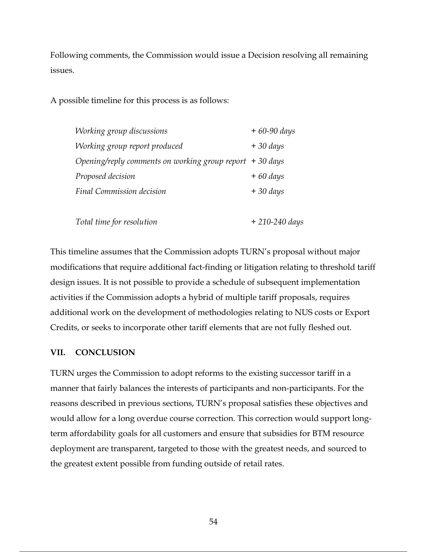Following comments, the Commission would issue a Decision resolving all remaining issues.

A possible timeline for this process is as follows:

| Working group discussions                                 | $+60-90$ days |
|-----------------------------------------------------------|---------------|
| Working group report produced                             | $+30 \; days$ |
| Opening/reply comments on working group report $+30$ days |               |
| Proposed decision                                         | $+60 \; days$ |
| Final Commission decision                                 | $+30 \; days$ |
|                                                           |               |

| Total time for resolution | + 210-240 days |
|---------------------------|----------------|
|---------------------------|----------------|

This timeline assumes that the Commission adopts TURN's proposal without major modifications that require additional fact-finding or litigation relating to threshold tariff design issues. It is not possible to provide a schedule of subsequent implementation activities if the Commission adopts a hybrid of multiple tariff proposals, requires additional work on the development of methodologies relating to NUS costs or Export Credits, or seeks to incorporate other tariff elements that are not fully fleshed out.

#### **VII. CONCLUSION**

TURN urges the Commission to adopt reforms to the existing successor tariff in a manner that fairly balances the interests of participants and non-participants. For the reasons described in previous sections, TURN's proposal satisfies these objectives and would allow for a long overdue course correction. This correction would support longterm affordability goals for all customers and ensure that subsidies for BTM resource deployment are transparent, targeted to those with the greatest needs, and sourced to the greatest extent possible from funding outside of retail rates.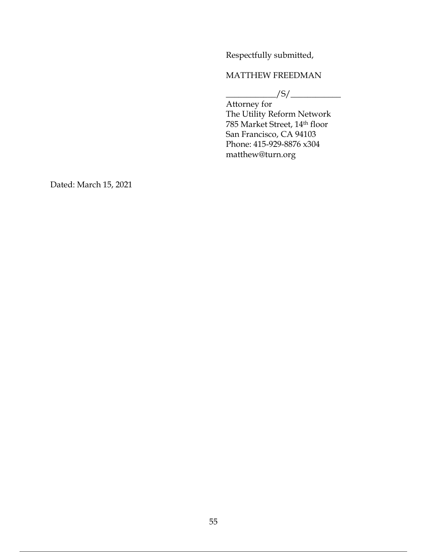Respectfully submitted,

## MATTHEW FREEDMAN

 $\frac{1}{\sqrt{S}}$ 

Attorney for The Utility Reform Network 785 Market Street, 14th floor San Francisco, CA 94103 Phone: 415-929-8876 x304 matthew@turn.org

Dated: March 15, 2021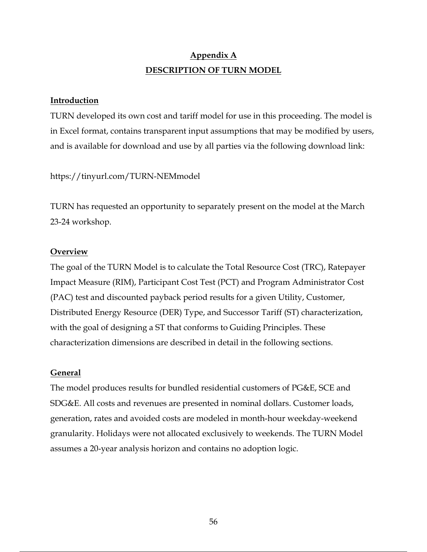## **Appendix A DESCRIPTION OF TURN MODEL**

#### **Introduction**

TURN developed its own cost and tariff model for use in this proceeding. The model is in Excel format, contains transparent input assumptions that may be modified by users, and is available for download and use by all parties via the following download link:

#### https://tinyurl.com/TURN-NEMmodel

TURN has requested an opportunity to separately present on the model at the March 23-24 workshop.

#### **Overview**

The goal of the TURN Model is to calculate the Total Resource Cost (TRC), Ratepayer Impact Measure (RIM), Participant Cost Test (PCT) and Program Administrator Cost (PAC) test and discounted payback period results for a given Utility, Customer, Distributed Energy Resource (DER) Type, and Successor Tariff (ST) characterization, with the goal of designing a ST that conforms to Guiding Principles. These characterization dimensions are described in detail in the following sections.

#### **General**

The model produces results for bundled residential customers of PG&E, SCE and SDG&E. All costs and revenues are presented in nominal dollars. Customer loads, generation, rates and avoided costs are modeled in month-hour weekday-weekend granularity. Holidays were not allocated exclusively to weekends. The TURN Model assumes a 20-year analysis horizon and contains no adoption logic.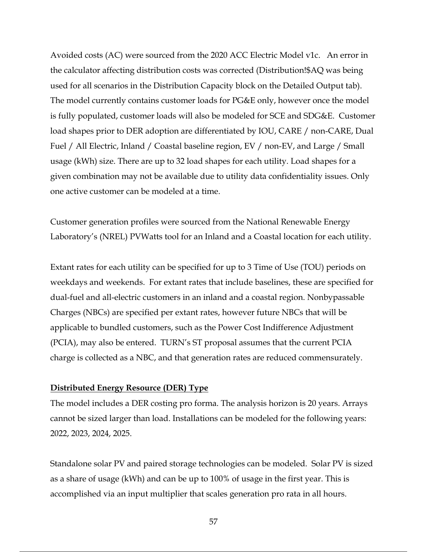Avoided costs (AC) were sourced from the 2020 ACC Electric Model v1c. An error in the calculator affecting distribution costs was corrected (Distribution!\$AQ was being used for all scenarios in the Distribution Capacity block on the Detailed Output tab). The model currently contains customer loads for PG&E only, however once the model is fully populated, customer loads will also be modeled for SCE and SDG&E. Customer load shapes prior to DER adoption are differentiated by IOU, CARE / non-CARE, Dual Fuel / All Electric, Inland / Coastal baseline region, EV / non-EV, and Large / Small usage (kWh) size. There are up to 32 load shapes for each utility. Load shapes for a given combination may not be available due to utility data confidentiality issues. Only one active customer can be modeled at a time.

Customer generation profiles were sourced from the National Renewable Energy Laboratory's (NREL) PVWatts tool for an Inland and a Coastal location for each utility.

Extant rates for each utility can be specified for up to 3 Time of Use (TOU) periods on weekdays and weekends. For extant rates that include baselines, these are specified for dual-fuel and all-electric customers in an inland and a coastal region. Nonbypassable Charges (NBCs) are specified per extant rates, however future NBCs that will be applicable to bundled customers, such as the Power Cost Indifference Adjustment (PCIA), may also be entered. TURN's ST proposal assumes that the current PCIA charge is collected as a NBC, and that generation rates are reduced commensurately.

#### **Distributed Energy Resource (DER) Type**

The model includes a DER costing pro forma. The analysis horizon is 20 years. Arrays cannot be sized larger than load. Installations can be modeled for the following years: 2022, 2023, 2024, 2025.

Standalone solar PV and paired storage technologies can be modeled. Solar PV is sized as a share of usage (kWh) and can be up to 100% of usage in the first year. This is accomplished via an input multiplier that scales generation pro rata in all hours.

57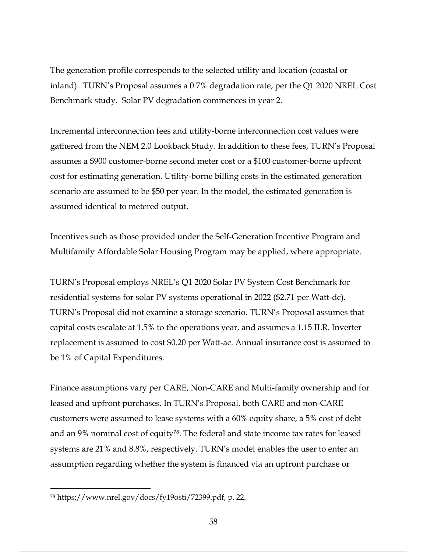The generation profile corresponds to the selected utility and location (coastal or inland). TURN's Proposal assumes a 0.7% degradation rate, per the Q1 2020 NREL Cost Benchmark study. Solar PV degradation commences in year 2.

Incremental interconnection fees and utility-borne interconnection cost values were gathered from the NEM 2.0 Lookback Study. In addition to these fees, TURN's Proposal assumes a \$900 customer-borne second meter cost or a \$100 customer-borne upfront cost for estimating generation. Utility-borne billing costs in the estimated generation scenario are assumed to be \$50 per year. In the model, the estimated generation is assumed identical to metered output.

Incentives such as those provided under the Self-Generation Incentive Program and Multifamily Affordable Solar Housing Program may be applied, where appropriate.

TURN's Proposal employs NREL's Q1 2020 Solar PV System Cost Benchmark for residential systems for solar PV systems operational in 2022 (\$2.71 per Watt-dc). TURN's Proposal did not examine a storage scenario. TURN's Proposal assumes that capital costs escalate at 1.5% to the operations year, and assumes a 1.15 ILR. Inverter replacement is assumed to cost \$0.20 per Watt-ac. Annual insurance cost is assumed to be 1% of Capital Expenditures.

Finance assumptions vary per CARE, Non-CARE and Multi-family ownership and for leased and upfront purchases. In TURN's Proposal, both CARE and non-CARE customers were assumed to lease systems with a 60% equity share, a 5% cost of debt and an 9% nominal cost of equity<sup>78</sup>. The federal and state income tax rates for leased systems are 21% and 8.8%, respectively. TURN's model enables the user to enter an assumption regarding whether the system is financed via an upfront purchase or

<sup>78</sup> https://www.nrel.gov/docs/fy19osti/72399.pdf, p. 22.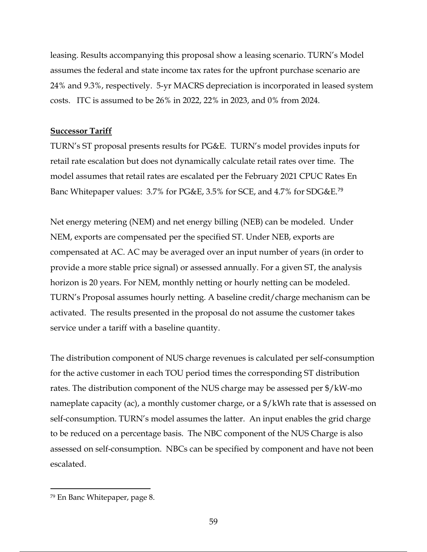leasing. Results accompanying this proposal show a leasing scenario. TURN's Model assumes the federal and state income tax rates for the upfront purchase scenario are 24% and 9.3%, respectively. 5-yr MACRS depreciation is incorporated in leased system costs. ITC is assumed to be 26% in 2022, 22% in 2023, and 0% from 2024.

#### **Successor Tariff**

TURN's ST proposal presents results for PG&E. TURN's model provides inputs for retail rate escalation but does not dynamically calculate retail rates over time. The model assumes that retail rates are escalated per the February 2021 CPUC Rates En Banc Whitepaper values: 3.7% for PG&E, 3.5% for SCE, and 4.7% for SDG&E.<sup>79</sup>

Net energy metering (NEM) and net energy billing (NEB) can be modeled. Under NEM, exports are compensated per the specified ST. Under NEB, exports are compensated at AC. AC may be averaged over an input number of years (in order to provide a more stable price signal) or assessed annually. For a given ST, the analysis horizon is 20 years. For NEM, monthly netting or hourly netting can be modeled. TURN's Proposal assumes hourly netting. A baseline credit/charge mechanism can be activated. The results presented in the proposal do not assume the customer takes service under a tariff with a baseline quantity.

The distribution component of NUS charge revenues is calculated per self-consumption for the active customer in each TOU period times the corresponding ST distribution rates. The distribution component of the NUS charge may be assessed per \$/kW-mo nameplate capacity (ac), a monthly customer charge, or a \$/kWh rate that is assessed on self-consumption. TURN's model assumes the latter. An input enables the grid charge to be reduced on a percentage basis. The NBC component of the NUS Charge is also assessed on self-consumption. NBCs can be specified by component and have not been escalated.

<sup>79</sup> En Banc Whitepaper, page 8.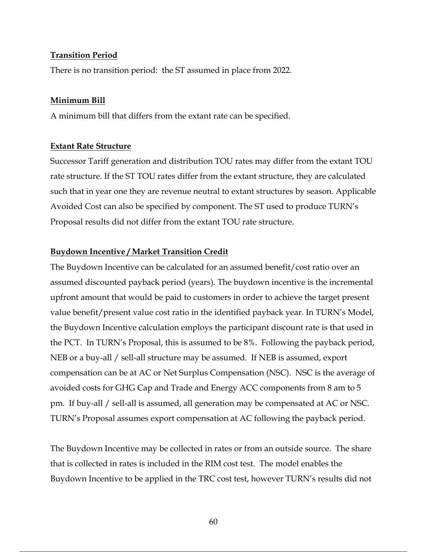#### **Transition Period**

There is no transition period: the ST assumed in place from 2022.

#### **Minimum Bill**

A minimum bill that differs from the extant rate can be specified.

#### **Extant Rate Structure**

Successor Tariff generation and distribution TOU rates may differ from the extant TOU rate structure. If the ST TOU rates differ from the extant structure, they are calculated such that in year one they are revenue neutral to extant structures by season. Applicable Avoided Cost can also be specified by component. The ST used to produce TURN's Proposal results did not differ from the extant TOU rate structure.

#### **Buydown Incentive / Market Transition Credit**

The Buydown Incentive can be calculated for an assumed benefit/cost ratio over an assumed discounted payback period (years). The buydown incentive is the incremental upfront amount that would be paid to customers in order to achieve the target present value benefit/present value cost ratio in the identified payback year. In TURN's Model, the Buydown Incentive calculation employs the participant discount rate is that used in the PCT. In TURN's Proposal, this is assumed to be 8%. Following the payback period, NEB or a buy-all / sell-all structure may be assumed. If NEB is assumed, export compensation can be at AC or Net Surplus Compensation (NSC). NSC is the average of avoided costs for GHG Cap and Trade and Energy ACC components from 8 am to 5 pm. If buy-all / sell-all is assumed, all generation may be compensated at AC or NSC. TURN's Proposal assumes export compensation at AC following the payback period.

The Buydown Incentive may be collected in rates or from an outside source. The share that is collected in rates is included in the RIM cost test. The model enables the Buydown Incentive to be applied in the TRC cost test, however TURN's results did not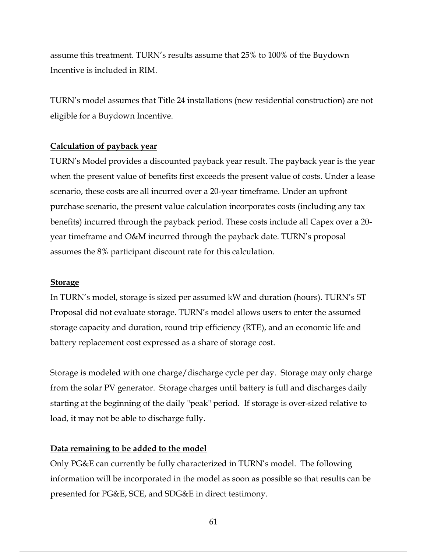assume this treatment. TURN's results assume that 25% to 100% of the Buydown Incentive is included in RIM.

TURN's model assumes that Title 24 installations (new residential construction) are not eligible for a Buydown Incentive.

#### **Calculation of payback year**

TURN's Model provides a discounted payback year result. The payback year is the year when the present value of benefits first exceeds the present value of costs. Under a lease scenario, these costs are all incurred over a 20-year timeframe. Under an upfront purchase scenario, the present value calculation incorporates costs (including any tax benefits) incurred through the payback period. These costs include all Capex over a 20 year timeframe and O&M incurred through the payback date. TURN's proposal assumes the 8% participant discount rate for this calculation.

#### **Storage**

In TURN's model, storage is sized per assumed kW and duration (hours). TURN's ST Proposal did not evaluate storage. TURN's model allows users to enter the assumed storage capacity and duration, round trip efficiency (RTE), and an economic life and battery replacement cost expressed as a share of storage cost.

Storage is modeled with one charge/discharge cycle per day. Storage may only charge from the solar PV generator. Storage charges until battery is full and discharges daily starting at the beginning of the daily "peak" period. If storage is over-sized relative to load, it may not be able to discharge fully.

#### **Data remaining to be added to the model**

Only PG&E can currently be fully characterized in TURN's model. The following information will be incorporated in the model as soon as possible so that results can be presented for PG&E, SCE, and SDG&E in direct testimony.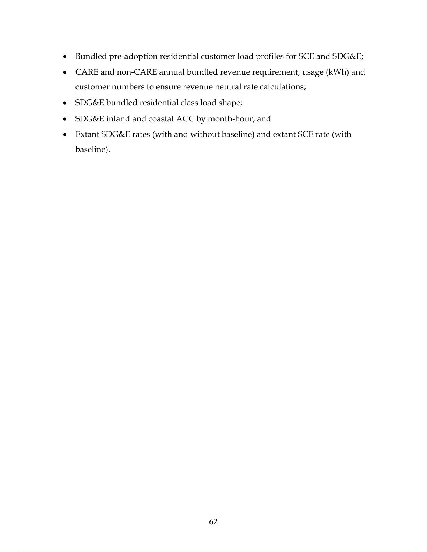- Bundled pre-adoption residential customer load profiles for SCE and SDG&E;
- CARE and non-CARE annual bundled revenue requirement, usage (kWh) and customer numbers to ensure revenue neutral rate calculations;
- SDG&E bundled residential class load shape;
- SDG&E inland and coastal ACC by month-hour; and
- Extant SDG&E rates (with and without baseline) and extant SCE rate (with baseline).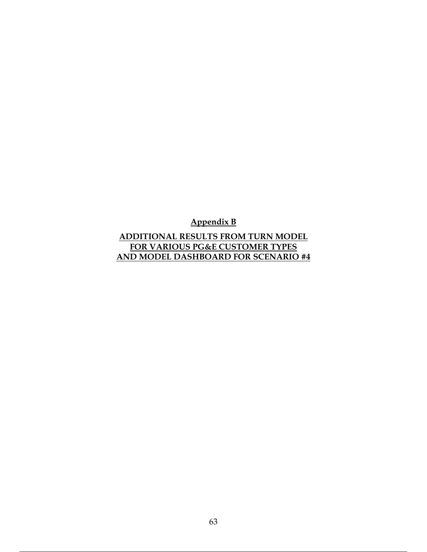**Appendix B**

**ADDITIONAL RESULTS FROM TURN MODEL FOR VARIOUS PG&E CUSTOMER TYPES AND MODEL DASHBOARD FOR SCENARIO #4**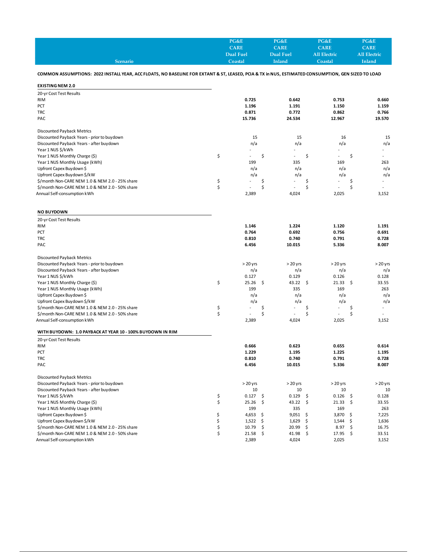|                 | PG&E        | PG&E          | PG&E         | PG&E                |
|-----------------|-------------|---------------|--------------|---------------------|
|                 | <b>CARE</b> | <b>CARE</b>   | CARE         | <b>CARE</b>         |
|                 | Dual Fuel   | Dual Fuel     | All Electric | <b>All Electric</b> |
| <b>Scenario</b> | Coastal     | <b>Inland</b> | Coastal      | Inland              |

#### **COMMON ASSUMPTIONS: 2022 INSTALL YEAR, ACC FLOATS, NO BASELINE FOR EXTANT & ST, LEASED, PCIA & TX in NUS, ESTIMATED CONSUMPTION, GEN SIZED TO LOAD**

**EXISTING NEM 2.0**

| 20-yr Cost Test Results                                    |             |     |            |             |     |                          |
|------------------------------------------------------------|-------------|-----|------------|-------------|-----|--------------------------|
| <b>RIM</b>                                                 | 0.725       |     | 0.642      | 0.753       |     | 0.660                    |
| PCT                                                        | 1.196       |     | 1.191      | 1.150       |     | 1.159                    |
| <b>TRC</b>                                                 | 0.871       |     | 0.772      | 0.862       |     | 0.766                    |
| PAC                                                        | 15.736      |     | 24.534     | 12.967      |     | 19.570                   |
|                                                            |             |     |            |             |     |                          |
| Discounted Payback Metrics                                 |             |     |            |             |     |                          |
| Discounted Payback Years - prior to buydown                | 15          |     | 15         | 16          |     | 15                       |
| Discounted Payback Years - after buydown                   | n/a         |     | n/a        | n/a         |     | n/a                      |
| Year 1 NUS \$/kWh                                          |             |     |            |             |     |                          |
| Year 1 NUS Monthly Charge (\$)                             | \$          | \$  |            | \$          | \$  | $\overline{a}$           |
| Year 1 NUS Monthly Usage (kWh)                             | 199         |     | 335        | 169         |     | 263                      |
| Upfront Capex Buydown \$                                   | n/a         |     | n/a        | n/a         |     | n/a                      |
| Upfront Capex Buydown \$/kW                                | n/a         |     | n/a        | n/a         |     | n/a                      |
| \$/month Non-CARE NEM 1.0 & NEM 2.0 - 25% share            | \$          | \$  |            | \$          | \$  | $\overline{\phantom{a}}$ |
| \$/month Non-CARE NEM 1.0 & NEM 2.0 - 50% share            | \$          | \$  |            | \$          | \$  |                          |
| Annual Self-consumption kWh                                | 2,389       |     | 4,024      | 2,025       |     | 3,152                    |
| <b>NO BUYDOWN</b>                                          |             |     |            |             |     |                          |
| 20-yr Cost Test Results                                    |             |     |            |             |     |                          |
| <b>RIM</b>                                                 | 1.146       |     | 1.224      | 1.120       |     | 1.191                    |
| PCT                                                        | 0.764       |     | 0.692      | 0.756       |     | 0.691                    |
| <b>TRC</b>                                                 | 0.810       |     | 0.740      | 0.791       |     | 0.728                    |
| PAC                                                        | 6.456       |     | 10.015     | 5.336       |     | 8.007                    |
|                                                            |             |     |            |             |     |                          |
| <b>Discounted Payback Metrics</b>                          |             |     |            |             |     |                          |
| Discounted Payback Years - prior to buydown                | $>20$ yrs   |     | $> 20$ yrs | $> 20$ yrs  |     | $> 20$ yrs               |
| Discounted Payback Years - after buydown                   | n/a         |     | n/a        | n/a         |     | n/a                      |
| Year 1 NUS \$/kWh                                          | 0.127       |     | 0.129      | 0.126       |     | 0.128                    |
| Year 1 NUS Monthly Charge (\$)                             | \$<br>25.26 | \$  | 43.22      | \$<br>21.33 | \$  | 33.55                    |
| Year 1 NUS Monthly Usage (kWh)                             | 199         |     | 335        | 169         |     | 263                      |
| Upfront Capex Buydown \$                                   | n/a         |     | n/a        | n/a         |     | n/a                      |
| Upfront Capex Buydown \$/kW                                | n/a         |     | n/a        | n/a         |     | n/a                      |
| \$/month Non-CARE NEM 1.0 & NEM 2.0 - 25% share            | \$          | \$  |            | \$          | \$  | $\overline{a}$           |
| \$/month Non-CARE NEM 1.0 & NEM 2.0 - 50% share            | \$          | \$  |            | \$          | Ś   |                          |
| Annual Self-consumption kWh                                | 2,389       |     | 4,024      | 2,025       |     | 3,152                    |
| WITH BUYDOWN: 1.0 PAYBACK AT YEAR 10 - 100% BUYDOWN IN RIM |             |     |            |             |     |                          |
| 20-yr Cost Test Results                                    |             |     |            |             |     |                          |
| <b>RIM</b>                                                 | 0.666       |     | 0.623      | 0.655       |     | 0.614                    |
| PCT                                                        | 1.229       |     | 1.195      | 1.225       |     | 1.195                    |
| <b>TRC</b>                                                 | 0.810       |     | 0.740      | 0.791       |     | 0.728                    |
| PAC                                                        | 6.456       |     | 10.015     | 5.336       |     | 8.007                    |
| Discounted Payback Metrics                                 |             |     |            |             |     |                          |
| Discounted Payback Years - prior to buydown                | $> 20$ yrs  |     | $> 20$ yrs | $> 20$ yrs  |     | $> 20$ yrs               |
| Discounted Payback Years - after buydown                   | 10          |     | 10         | 10          |     | 10                       |
| Year 1 NUS \$/kWh                                          | \$<br>0.127 | \$  | 0.129      | \$<br>0.126 | \$  | 0.128                    |
| Year 1 NUS Monthly Charge (\$)                             | \$<br>25.26 | \$  | 43.22      | \$<br>21.33 | \$  | 33.55                    |
| Year 1 NUS Monthly Usage (kWh)                             | 199         |     | 335        | 169         |     | 263                      |
| Upfront Capex Buydown \$                                   | \$<br>4,653 | -\$ | 9,051      | \$<br>3,870 | \$. | 7,225                    |
| Upfront Capex Buydown \$/kW                                | \$<br>1,522 | \$  | 1,629      | \$<br>1,544 | \$  | 1,636                    |
| \$/month Non-CARE NEM 1.0 & NEM 2.0 - 25% share            | \$<br>10.79 | \$  | 20.99      | \$<br>8.97  | \$  | 16.75                    |
| \$/month Non-CARE NEM 1.0 & NEM 2.0 - 50% share            | \$<br>21.58 | \$  | 41.98      | \$<br>17.95 | \$  | 33.51                    |
| Annual Self-consumption kWh                                | 2,389       |     | 4,024      | 2,025       |     | 3,152                    |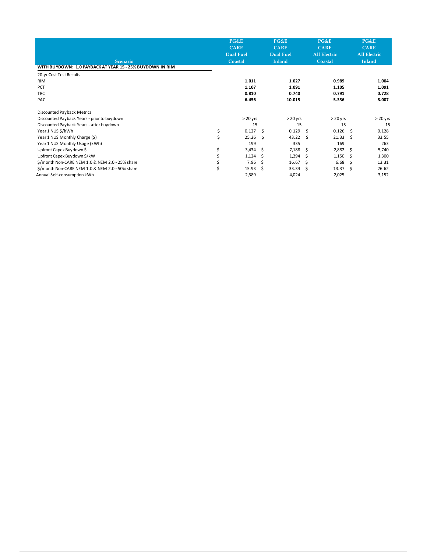|                                                           |    | PG&E        |    | PG&E             |    | PG&E                |    | PG&E                |
|-----------------------------------------------------------|----|-------------|----|------------------|----|---------------------|----|---------------------|
|                                                           |    | <b>CARE</b> |    | <b>CARE</b>      |    | <b>CARE</b>         |    | <b>CARE</b>         |
|                                                           |    | Dual Fuel   |    | <b>Dual Fuel</b> |    | <b>All Electric</b> |    | <b>All Electric</b> |
| <b>Scenario</b>                                           |    | Coastal     |    | <b>Inland</b>    |    | Coastal             |    | Inland              |
| WITH BUYDOWN: 1.0 PAYBACK AT YEAR 15 - 25% BUYDOWN IN RIM |    |             |    |                  |    |                     |    |                     |
| 20-yr Cost Test Results                                   |    |             |    |                  |    |                     |    |                     |
| <b>RIM</b>                                                |    | 1.011       |    | 1.027            |    | 0.989               |    | 1.004               |
| PCT                                                       |    | 1.107       |    | 1.091            |    | 1.105               |    | 1.091               |
| <b>TRC</b>                                                |    | 0.810       |    | 0.740            |    | 0.791               |    | 0.728               |
| PAC                                                       |    | 6.456       |    | 10.015           |    | 5.336               |    | 8.007               |
| Discounted Payback Metrics                                |    |             |    |                  |    |                     |    |                     |
| Discounted Payback Years - prior to buydown               |    | $>20$ yrs   |    | $> 20$ yrs       |    | $>20$ yrs           |    | $> 20$ yrs          |
| Discounted Payback Years - after buydown                  |    | 15          |    | 15               |    | 15                  |    | 15                  |
| Year 1 NUS \$/kWh                                         | \$ | 0.127       | Ŝ. | 0.129            | Ŝ. | 0.126               | Ŝ. | 0.128               |
| Year 1 NUS Monthly Charge (\$)                            | \$ | 25.26       | -S | 43.22            | Ŝ  | 21.33               | Ŝ  | 33.55               |
| Year 1 NUS Monthly Usage (kWh)                            |    | 199         |    | 335              |    | 169                 |    | 263                 |
| Upfront Capex Buydown \$                                  | \$ | 3,434       | -Ŝ | 7,188            | Ŝ. | 2,882               | -S | 5,740               |
| Upfront Capex Buydown \$/kW                               |    | 1,124       | -S | 1,294            | Ŝ  | 1,150               | Ŝ  | 1,300               |
| \$/month Non-CARE NEM 1.0 & NEM 2.0 - 25% share           |    | 7.96        | Ŝ  | 16.67            | Ŝ  | 6.68                | Ŝ  | 13.31               |
| \$/month Non-CARE NEM 1.0 & NEM 2.0 - 50% share           | Ś  | 15.93       | Ŝ. | 33.34            | Ŝ  | 13.37               | Ŝ  | 26.62               |
| Annual Self-consumption kWh                               |    | 2,389       |    | 4,024            |    | 2,025               |    | 3,152               |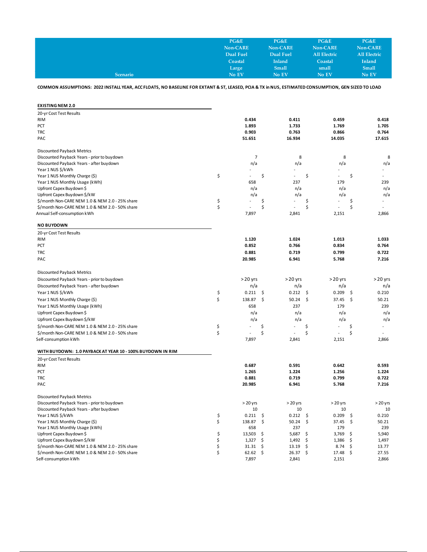|                 | PG&E      | PG&E          | PG&E                | PG&E                |
|-----------------|-----------|---------------|---------------------|---------------------|
|                 | Non-CARE  | Non-CARE      | Non-CARE            | Non-CARE            |
|                 | Dual Fuel | Dual Fuel     | <b>All Electric</b> | <b>All Electric</b> |
|                 | Coastal   | <b>Inland</b> | Coastal             | <b>Inland</b>       |
|                 | Large     | <b>Small</b>  | small               | <b>Small</b>        |
| <b>Scenario</b> | No EV     | No EV         | No EV               | No EV               |

**COMMON ASSUMPTIONS: 2022 INSTALL YEAR, ACC FLOATS, NO BASELINE FOR EXTANT & ST, LEASED, PCIA & TX in NUS, ESTIMATED CONSUMPTION, GEN SIZED TO LOAD**

| <b>EXISTING NEM 2.0</b>                                    |                |                      |             |                                |
|------------------------------------------------------------|----------------|----------------------|-------------|--------------------------------|
| 20-yr Cost Test Results                                    |                |                      |             |                                |
| <b>RIM</b>                                                 | 0.434          | 0.411                | 0.459       | 0.418                          |
| PCT                                                        | 1.893          | 1.733                | 1.769       | 1.705                          |
| <b>TRC</b>                                                 | 0.903          | 0.763                | 0.866       | 0.764                          |
| PAC                                                        | 51.651         | 16.934               | 14.035      | 17.615                         |
| <b>Discounted Payback Metrics</b>                          |                |                      |             |                                |
| Discounted Payback Years - prior to buydown                | $\overline{7}$ | 8                    | 8           | 8                              |
| Discounted Payback Years - after buydown                   | n/a            | n/a                  | n/a         | n/a                            |
| Year 1 NUS \$/kWh                                          |                |                      |             |                                |
| Year 1 NUS Monthly Charge (\$)                             | \$             | \$                   | \$          | \$                             |
| Year 1 NUS Monthly Usage (kWh)                             | 658            | 237                  | 179         | 239                            |
| Upfront Capex Buydown \$                                   | n/a            | n/a                  | n/a         | n/a                            |
| Upfront Capex Buydown \$/kW                                | n/a            | n/a                  | n/a         | n/a                            |
| \$/month Non-CARE NEM 1.0 & NEM 2.0 - 25% share            | \$             | \$                   | \$          | \$<br>$\overline{\phantom{a}}$ |
| \$/month Non-CARE NEM 1.0 & NEM 2.0 - 50% share            | \$             | \$                   | \$          | \$                             |
| Annual Self-consumption kWh                                | 7,897          | 2,841                | 2,151       | 2,866                          |
| <b>NO BUYDOWN</b>                                          |                |                      |             |                                |
| 20-yr Cost Test Results                                    |                |                      |             |                                |
| <b>RIM</b>                                                 | 1.120          | 1.024                | 1.013       | 1.033                          |
| PCT                                                        | 0.852          | 0.766                | 0.834       | 0.764                          |
| <b>TRC</b>                                                 | 0.881          | 0.719                | 0.799       | 0.722                          |
| PAC                                                        | 20.985         | 6.941                | 5.768       | 7.216                          |
| Discounted Payback Metrics                                 |                |                      |             |                                |
| Discounted Payback Years - prior to buydown                | $>20$ yrs      | $>20$ yrs            | $>20$ yrs   | $>20$ yrs                      |
| Discounted Payback Years - after buydown                   | n/a            | n/a                  | n/a         | n/a                            |
| Year 1 NUS \$/kWh                                          | \$<br>0.211    | \$<br>0.212          | \$<br>0.209 | \$<br>0.210                    |
| Year 1 NUS Monthly Charge (\$)                             | \$<br>138.87   | \$<br>50.24          | \$<br>37.45 | \$<br>50.21                    |
| Year 1 NUS Monthly Usage (kWh)                             | 658            | 237                  | 179         | 239                            |
| Upfront Capex Buydown \$                                   | n/a            | n/a                  | n/a         | n/a                            |
| Upfront Capex Buydown \$/kW                                | n/a            | n/a                  | n/a         | n/a                            |
| \$/month Non-CARE NEM 1.0 & NEM 2.0 - 25% share            | \$             | \$<br>$\overline{a}$ | \$          | \$<br>$\overline{a}$           |
| \$/month Non-CARE NEM 1.0 & NEM 2.0 - 50% share            | \$             | \$                   | \$          | \$                             |
| Self-consumption kWh                                       | 7,897          | 2,841                | 2,151       | 2,866                          |
| WITH BUYDOWN: 1.0 PAYBACK AT YEAR 10 - 100% BUYDOWN IN RIM |                |                      |             |                                |
| 20-yr Cost Test Results                                    |                |                      |             |                                |
| <b>RIM</b>                                                 | 0.687          | 0.591                | 0.642       | 0.593                          |
| PCT                                                        | 1.265          | 1.224                | 1.256       | 1.224                          |
| <b>TRC</b>                                                 | 0.881          | 0.719                | 0.799       | 0.722                          |
| PAC                                                        | 20.985         | 6.941                | 5.768       | 7.216                          |
| <b>Discounted Payback Metrics</b>                          |                |                      |             |                                |
| Discounted Payback Years - prior to buydown                | $>20$ yrs      | $> 20$ yrs           | $> 20$ yrs  | $> 20$ yrs                     |
| Discounted Payback Years - after buydown                   | 10             | 10                   | 10          | 10                             |
| Year 1 NUS \$/kWh                                          | \$<br>0.211    | \$<br>0.212          | \$<br>0.209 | \$<br>0.210                    |
| Year 1 NUS Monthly Charge (\$)                             | \$<br>138.87   | \$<br>50.24          | \$<br>37.45 | \$<br>50.21                    |
| Year 1 NUS Monthly Usage (kWh)                             | 658            | 237                  | 179         | 239                            |
| Upfront Capex Buydown \$                                   | \$<br>13,503   | \$<br>5,687          | \$<br>3,769 | \$<br>5,940                    |
| Upfront Capex Buydown \$/kW                                | \$<br>1,327    | \$<br>1,492          | \$<br>1,386 | \$<br>1,497                    |
| \$/month Non-CARE NEM 1.0 & NEM 2.0 - 25% share            | \$<br>31.31    | \$<br>13.19          | \$<br>8.74  | \$<br>13.77                    |
| \$/month Non-CARE NEM 1.0 & NEM 2.0 - 50% share            | \$<br>62.62    | \$<br>26.37          | \$<br>17.48 | \$<br>27.55                    |
| Self-consumption kWh                                       | 7,897          | 2,841                | 2,151       | 2,866                          |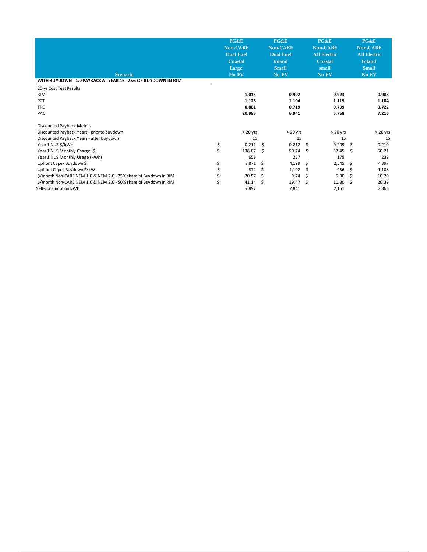| <b>Scenario</b>                                                   | PG&E<br><b>Non-CARE</b><br><b>Dual Fuel</b><br>Coastal<br>Large<br>No EV |           |      | PG&E<br><b>Non-CARE</b><br><b>Dual Fuel</b><br><b>Inland</b><br><b>Small</b><br>No EV |    | PG&E<br>Non-CARE<br><b>All Electric</b><br>Coastal<br>small<br>No EV |     | PG&E<br><b>Non-CARE</b><br><b>All Electric</b><br>Inland<br><b>Small</b><br>No EV |
|-------------------------------------------------------------------|--------------------------------------------------------------------------|-----------|------|---------------------------------------------------------------------------------------|----|----------------------------------------------------------------------|-----|-----------------------------------------------------------------------------------|
| WITH BUYDOWN: 1.0 PAYBACK AT YEAR 15 - 25% OF BUYDOWN IN RIM      |                                                                          |           |      |                                                                                       |    |                                                                      |     |                                                                                   |
| 20-yr Cost Test Results                                           |                                                                          |           |      |                                                                                       |    |                                                                      |     |                                                                                   |
| <b>RIM</b>                                                        |                                                                          | 1.015     |      | 0.902                                                                                 |    | 0.923                                                                |     | 0.908                                                                             |
| PCT                                                               |                                                                          | 1.123     |      | 1.104                                                                                 |    | 1.119                                                                |     | 1.104                                                                             |
| <b>TRC</b>                                                        |                                                                          | 0.881     |      | 0.719                                                                                 |    | 0.799                                                                |     | 0.722                                                                             |
| PAC                                                               |                                                                          | 20.985    |      | 6.941                                                                                 |    | 5.768                                                                |     | 7.216                                                                             |
| Discounted Payback Metrics                                        |                                                                          |           |      |                                                                                       |    |                                                                      |     |                                                                                   |
| Discounted Payback Years - prior to buydown                       |                                                                          | $>20$ yrs |      | $>20$ yrs                                                                             |    | $> 20$ yrs                                                           |     | $> 20$ yrs                                                                        |
| Discounted Payback Years - after buydown                          |                                                                          | 15        |      | 15                                                                                    |    | 15                                                                   |     | 15                                                                                |
| Year 1 NUS \$/kWh                                                 | \$                                                                       | 0.211     | - \$ | 0.212                                                                                 | Ŝ. | 0.209                                                                | Ŝ.  | 0.210                                                                             |
| Year 1 NUS Monthly Charge (\$)                                    | \$                                                                       | 138.87    | -S   | 50.24                                                                                 | Ŝ. | 37.45                                                                | \$. | 50.21                                                                             |
| Year 1 NUS Monthly Usage (kWh)                                    |                                                                          | 658       |      | 237                                                                                   |    | 179                                                                  |     | 239                                                                               |
| Upfront Capex Buydown \$                                          | \$                                                                       | 8,871     | - Ś  | 4,199                                                                                 | \$ | 2,545                                                                | \$. | 4,397                                                                             |
| Upfront Capex Buydown \$/kW                                       | \$                                                                       | 872       | \$.  | 1,102                                                                                 | \$ | 936                                                                  | \$. | 1,108                                                                             |
| \$/month Non-CARE NEM 1.0 & NEM 2.0 - 25% share of Buydown in RIM | \$                                                                       | 20.57     | Ŝ    | 9.74                                                                                  | Ŝ. | 5.90                                                                 | Ŝ.  | 10.20                                                                             |
| \$/month Non-CARE NEM 1.0 & NEM 2.0 - 50% share of Buydown in RIM | \$                                                                       | 41.14     | Ŝ.   | 19.47                                                                                 | Ŝ. | 11.80                                                                | .s  | 20.39                                                                             |
| Self-consumption kWh                                              |                                                                          | 7,897     |      | 2,841                                                                                 |    | 2,151                                                                |     | 2,866                                                                             |